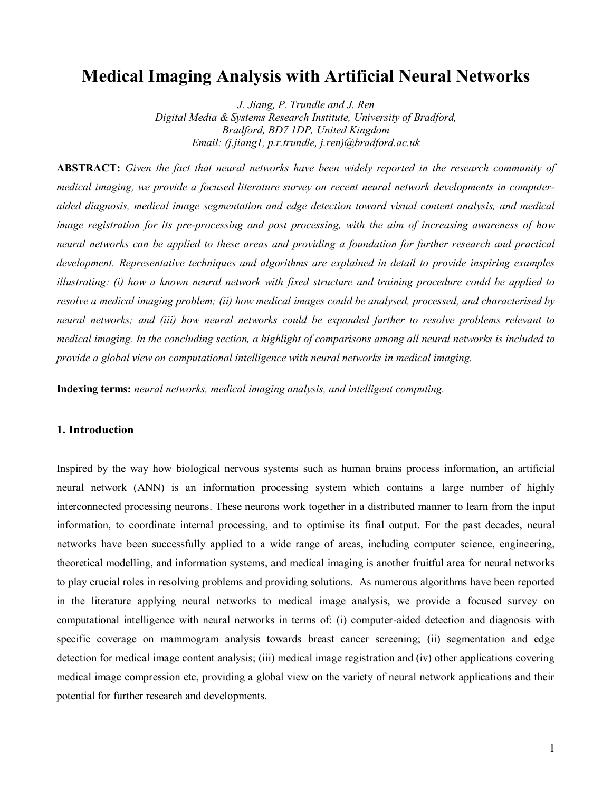# **Medical Imaging Analysis with Artificial Neural Networks**

*J. Jiang, P. Trundle and J. Ren Digital Media & Systems Research Institute, University of Bradford, Bradford, BD7 1DP, United Kingdom Email: (j.jiang1, p.r.trundle, j.ren)@bradford.ac.uk*

**ABSTRACT:** *Given the fact that neural networks have been widely reported in the research community of medical imaging, we provide a focused literature survey on recent neural network developments in computeraided diagnosis, medical image segmentation and edge detection toward visual content analysis, and medical image registration for its pre-processing and post processing, with the aim of increasing awareness of how neural networks can be applied to these areas and providing a foundation for further research and practical development. Representative techniques and algorithms are explained in detail to provide inspiring examples illustrating: (i) how a known neural network with fixed structure and training procedure could be applied to resolve a medical imaging problem; (ii) how medical images could be analysed, processed, and characterised by neural networks; and (iii) how neural networks could be expanded further to resolve problems relevant to medical imaging. In the concluding section, a highlight of comparisons among all neural networks is included to provide a global view on computational intelligence with neural networks in medical imaging.*

**Indexing terms:** *neural networks, medical imaging analysis, and intelligent computing.* 

## **1. Introduction**

Inspired by the way how biological nervous systems such as human brains process information, an artificial neural network (ANN) is an information processing system which contains a large number of highly interconnected processing neurons. These neurons work together in a distributed manner to learn from the input information, to coordinate internal processing, and to optimise its final output. For the past decades, neural networks have been successfully applied to a wide range of areas, including computer science, engineering, theoretical modelling, and information systems, and medical imaging is another fruitful area for neural networks to play crucial roles in resolving problems and providing solutions. As numerous algorithms have been reported in the literature applying neural networks to medical image analysis, we provide a focused survey on computational intelligence with neural networks in terms of: (i) computer-aided detection and diagnosis with specific coverage on mammogram analysis towards breast cancer screening; (ii) segmentation and edge detection for medical image content analysis; (iii) medical image registration and (iv) other applications covering medical image compression etc, providing a global view on the variety of neural network applications and their potential for further research and developments.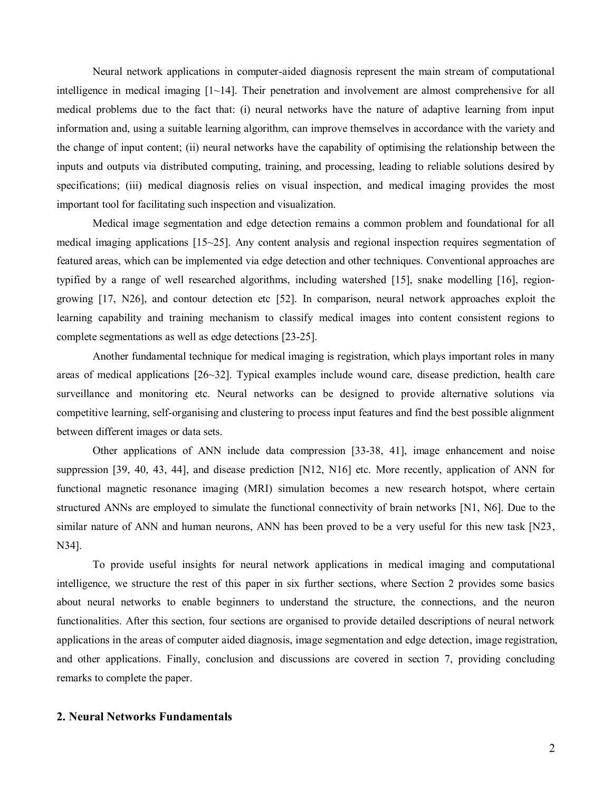Neural network applications in computer-aided diagnosis represent the main stream of computational intelligence in medical imaging  $[1] \sim 14$ . Their penetration and involvement are almost comprehensive for all medical problems due to the fact that: (i) neural networks have the nature of adaptive learning from input information and, using a suitable learning algorithm, can improve themselves in accordance with the variety and the change of input content; (ii) neural networks have the capability of optimising the relationship between the inputs and outputs via distributed computing, training, and processing, leading to reliable solutions desired by specifications; (iii) medical diagnosis relies on visual inspection, and medical imaging provides the most important tool for facilitating such inspection and visualization.

Medical image segmentation and edge detection remains a common problem and foundational for all medical imaging applications [15~25]. Any content analysis and regional inspection requires segmentation of featured areas, which can be implemented via edge detection and other techniques. Conventional approaches are typified by a range of well researched algorithms, including watershed [15], snake modelling [16], regiongrowing [17, N26], and contour detection etc [52]. In comparison, neural network approaches exploit the learning capability and training mechanism to classify medical images into content consistent regions to complete segmentations as well as edge detections [23-25].

Another fundamental technique for medical imaging is registration, which plays important roles in many areas of medical applications [26~32]. Typical examples include wound care, disease prediction, health care surveillance and monitoring etc. Neural networks can be designed to provide alternative solutions via competitive learning, self-organising and clustering to process input features and find the best possible alignment between different images or data sets.

Other applications of ANN include data compression [33-38, 41], image enhancement and noise suppression [39, 40, 43, 44], and disease prediction [N12, N16] etc. More recently, application of ANN for functional magnetic resonance imaging (MRI) simulation becomes a new research hotspot, where certain structured ANNs are employed to simulate the functional connectivity of brain networks [N1, N6]. Due to the similar nature of ANN and human neurons, ANN has been proved to be a very useful for this new task [N23, N34].

To provide useful insights for neural network applications in medical imaging and computational intelligence, we structure the rest of this paper in six further sections, where Section 2 provides some basics about neural networks to enable beginners to understand the structure, the connections, and the neuron functionalities. After this section, four sections are organised to provide detailed descriptions of neural network applications in the areas of computer aided diagnosis, image segmentation and edge detection, image registration, and other applications. Finally, conclusion and discussions are covered in section 7, providing concluding remarks to complete the paper.

# **2. Neural Networks Fundamentals**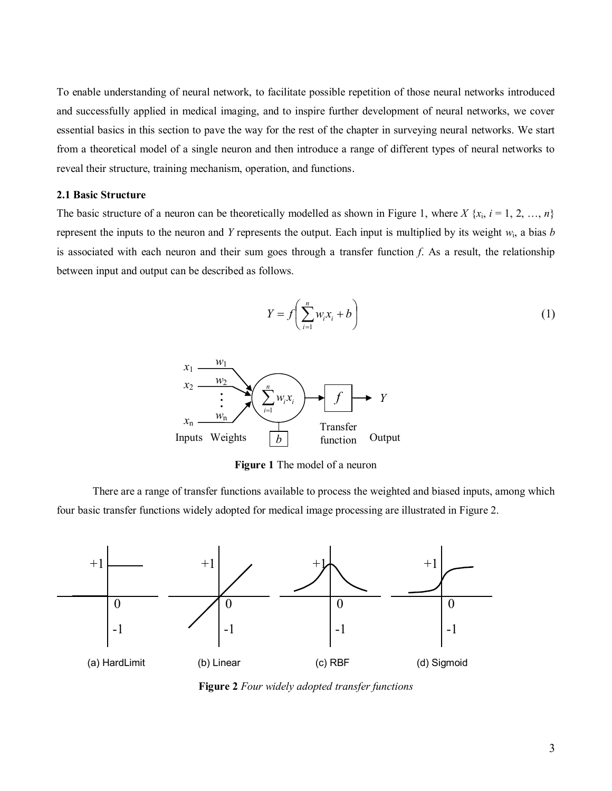To enable understanding of neural network, to facilitate possible repetition of those neural networks introduced and successfully applied in medical imaging, and to inspire further development of neural networks, we cover essential basics in this section to pave the way for the rest of the chapter in surveying neural networks. We start from a theoretical model of a single neuron and then introduce a range of different types of neural networks to reveal their structure, training mechanism, operation, and functions.

#### **2.1 Basic Structure**

The basic structure of a neuron can be theoretically modelled as shown in Figure 1, where  $X \{x_i, i = 1, 2, ..., n\}$ represent the inputs to the neuron and *Y* represents the output. Each input is multiplied by its weight *w*<sup>i</sup> , a bias *b* is associated with each neuron and their sum goes through a transfer function *f*. As a result, the relationship between input and output can be described as follows.

$$
Y = f\left(\sum_{i=1}^{n} w_i x_i + b\right)
$$
 (1)



**Figure 1** The model of a neuron

There are a range of transfer functions available to process the weighted and biased inputs, among which four basic transfer functions widely adopted for medical image processing are illustrated in Figure 2.



**Figure 2** *Four widely adopted transfer functions*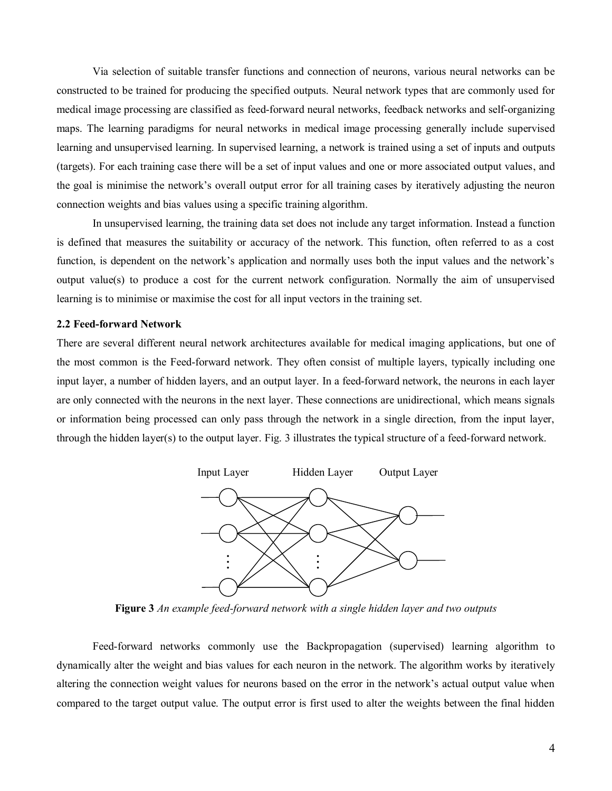Via selection of suitable transfer functions and connection of neurons, various neural networks can be constructed to be trained for producing the specified outputs. Neural network types that are commonly used for medical image processing are classified as feed-forward neural networks, feedback networks and self-organizing maps. The learning paradigms for neural networks in medical image processing generally include supervised learning and unsupervised learning. In supervised learning, a network is trained using a set of inputs and outputs (targets). For each training case there will be a set of input values and one or more associated output values, and the goal is minimise the network's overall output error for all training cases by iteratively adjusting the neuron connection weights and bias values using a specific training algorithm.

In unsupervised learning, the training data set does not include any target information. Instead a function is defined that measures the suitability or accuracy of the network. This function, often referred to as a cost function, is dependent on the network's application and normally uses both the input values and the network's output value(s) to produce a cost for the current network configuration. Normally the aim of unsupervised learning is to minimise or maximise the cost for all input vectors in the training set.

## **2.2 Feed-forward Network**

There are several different neural network architectures available for medical imaging applications, but one of the most common is the Feed-forward network. They often consist of multiple layers, typically including one input layer, a number of hidden layers, and an output layer. In a feed-forward network, the neurons in each layer are only connected with the neurons in the next layer. These connections are unidirectional, which means signals or information being processed can only pass through the network in a single direction, from the input layer, through the hidden layer(s) to the output layer. Fig. 3 illustrates the typical structure of a feed-forward network.



**Figure 3** *An example feed-forward network with a single hidden layer and two outputs*

Feed-forward networks commonly use the Backpropagation (supervised) learning algorithm to dynamically alter the weight and bias values for each neuron in the network. The algorithm works by iteratively altering the connection weight values for neurons based on the error in the network's actual output value when compared to the target output value. The output error is first used to alter the weights between the final hidden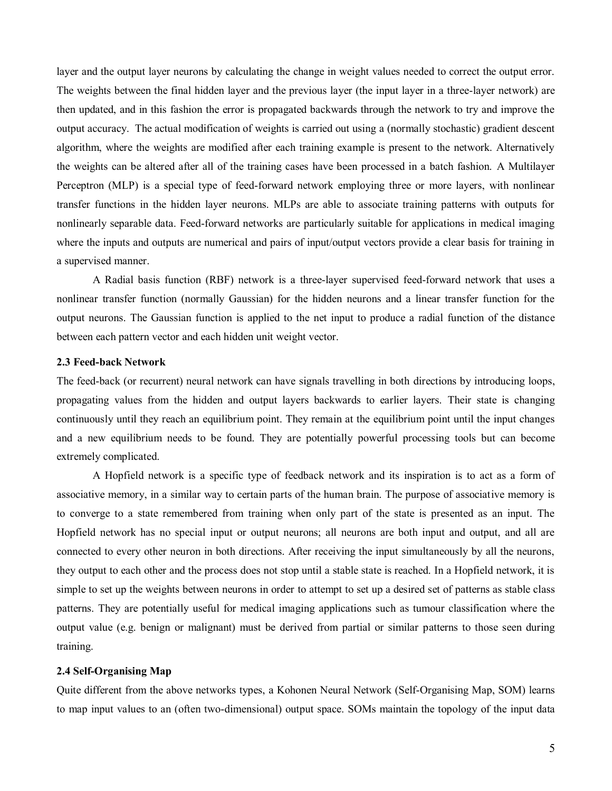layer and the output layer neurons by calculating the change in weight values needed to correct the output error. The weights between the final hidden layer and the previous layer (the input layer in a three-layer network) are then updated, and in this fashion the error is propagated backwards through the network to try and improve the output accuracy. The actual modification of weights is carried out using a (normally stochastic) gradient descent algorithm, where the weights are modified after each training example is present to the network. Alternatively the weights can be altered after all of the training cases have been processed in a batch fashion. A Multilayer Perceptron (MLP) is a special type of feed-forward network employing three or more layers, with nonlinear transfer functions in the hidden layer neurons. MLPs are able to associate training patterns with outputs for nonlinearly separable data. Feed-forward networks are particularly suitable for applications in medical imaging where the inputs and outputs are numerical and pairs of input/output vectors provide a clear basis for training in a supervised manner.

A Radial basis function (RBF) network is a three-layer supervised feed-forward network that uses a nonlinear transfer function (normally Gaussian) for the hidden neurons and a linear transfer function for the output neurons. The Gaussian function is applied to the net input to produce a radial function of the distance between each pattern vector and each hidden unit weight vector.

## **2.3 Feed-back Network**

The feed-back (or recurrent) neural network can have signals travelling in both directions by introducing loops, propagating values from the hidden and output layers backwards to earlier layers. Their state is changing continuously until they reach an equilibrium point. They remain at the equilibrium point until the input changes and a new equilibrium needs to be found. They are potentially powerful processing tools but can become extremely complicated.

A Hopfield network is a specific type of feedback network and its inspiration is to act as a form of associative memory, in a similar way to certain parts of the human brain. The purpose of associative memory is to converge to a state remembered from training when only part of the state is presented as an input. The Hopfield network has no special input or output neurons; all neurons are both input and output, and all are connected to every other neuron in both directions. After receiving the input simultaneously by all the neurons, they output to each other and the process does not stop until a stable state is reached. In a Hopfield network, it is simple to set up the weights between neurons in order to attempt to set up a desired set of patterns as stable class patterns. They are potentially useful for medical imaging applications such as tumour classification where the output value (e.g. benign or malignant) must be derived from partial or similar patterns to those seen during training.

#### **2.4 Self-Organising Map**

Quite different from the above networks types, a Kohonen Neural Network (Self-Organising Map, SOM) learns to map input values to an (often two-dimensional) output space. SOMs maintain the topology of the input data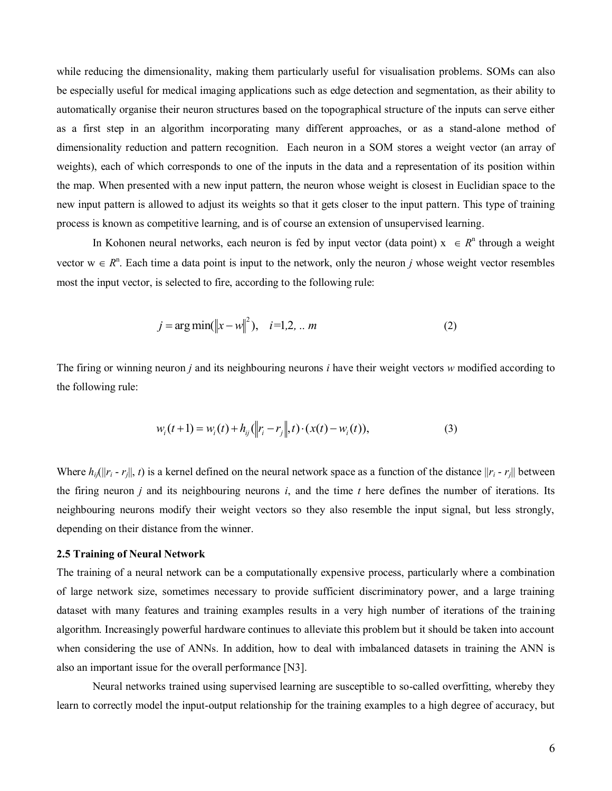while reducing the dimensionality, making them particularly useful for visualisation problems. SOMs can also be especially useful for medical imaging applications such as edge detection and segmentation, as their ability to automatically organise their neuron structures based on the topographical structure of the inputs can serve either as a first step in an algorithm incorporating many different approaches, or as a stand-alone method of dimensionality reduction and pattern recognition. Each neuron in a SOM stores a weight vector (an array of weights), each of which corresponds to one of the inputs in the data and a representation of its position within the map. When presented with a new input pattern, the neuron whose weight is closest in Euclidian space to the new input pattern is allowed to adjust its weights so that it gets closer to the input pattern. This type of training process is known as competitive learning, and is of course an extension of unsupervised learning.

In Kohonen neural networks, each neuron is fed by input vector (data point)  $x \in R^n$  through a weight vector  $w \in R^n$ . Each time a data point is input to the network, only the neuron *j* whose weight vector resembles most the input vector, is selected to fire, according to the following rule:

$$
j = \arg \min(\|x - w\|^2), \quad i = 1, 2, \dots m
$$
 (2)

The firing or winning neuron *j* and its neighbouring neurons *i* have their weight vectors *w* modified according to the following rule:

$$
w_i(t+1) = w_i(t) + h_{ij}(\|r_i - r_j\|, t) \cdot (x(t) - w_i(t)),
$$
\n(3)

Where  $h_{ij}(\|r_i - r_j\|, t)$  is a kernel defined on the neural network space as a function of the distance  $\|r_i - r_j\|$  between the firing neuron *j* and its neighbouring neurons *i*, and the time *t* here defines the number of iterations. Its neighbouring neurons modify their weight vectors so they also resemble the input signal, but less strongly, depending on their distance from the winner.

## **2.5 Training of Neural Network**

The training of a neural network can be a computationally expensive process, particularly where a combination of large network size, sometimes necessary to provide sufficient discriminatory power, and a large training dataset with many features and training examples results in a very high number of iterations of the training algorithm. Increasingly powerful hardware continues to alleviate this problem but it should be taken into account when considering the use of ANNs. In addition, how to deal with imbalanced datasets in training the ANN is also an important issue for the overall performance [N3].

Neural networks trained using supervised learning are susceptible to so-called overfitting, whereby they learn to correctly model the input-output relationship for the training examples to a high degree of accuracy, but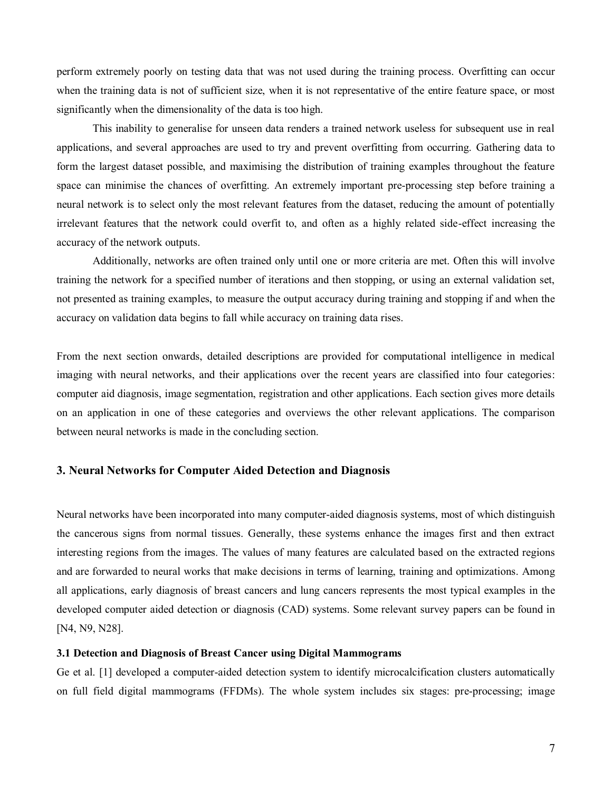perform extremely poorly on testing data that was not used during the training process. Overfitting can occur when the training data is not of sufficient size, when it is not representative of the entire feature space, or most significantly when the dimensionality of the data is too high.

This inability to generalise for unseen data renders a trained network useless for subsequent use in real applications, and several approaches are used to try and prevent overfitting from occurring. Gathering data to form the largest dataset possible, and maximising the distribution of training examples throughout the feature space can minimise the chances of overfitting. An extremely important pre-processing step before training a neural network is to select only the most relevant features from the dataset, reducing the amount of potentially irrelevant features that the network could overfit to, and often as a highly related side-effect increasing the accuracy of the network outputs.

Additionally, networks are often trained only until one or more criteria are met. Often this will involve training the network for a specified number of iterations and then stopping, or using an external validation set, not presented as training examples, to measure the output accuracy during training and stopping if and when the accuracy on validation data begins to fall while accuracy on training data rises.

From the next section onwards, detailed descriptions are provided for computational intelligence in medical imaging with neural networks, and their applications over the recent years are classified into four categories: computer aid diagnosis, image segmentation, registration and other applications. Each section gives more details on an application in one of these categories and overviews the other relevant applications. The comparison between neural networks is made in the concluding section.

# **3. Neural Networks for Computer Aided Detection and Diagnosis**

Neural networks have been incorporated into many computer-aided diagnosis systems, most of which distinguish the cancerous signs from normal tissues. Generally, these systems enhance the images first and then extract interesting regions from the images. The values of many features are calculated based on the extracted regions and are forwarded to neural works that make decisions in terms of learning, training and optimizations. Among all applications, early diagnosis of breast cancers and lung cancers represents the most typical examples in the developed computer aided detection or diagnosis (CAD) systems. Some relevant survey papers can be found in [N4, N9, N28].

## **3.1 Detection and Diagnosis of Breast Cancer using Digital Mammograms**

<span id="page-6-0"></span>Ge et al. [1] developed a computer-aided detection system to identify microcalcification clusters automatically on full field digital mammograms (FFDMs). The whole system includes six stages: pre-processing; image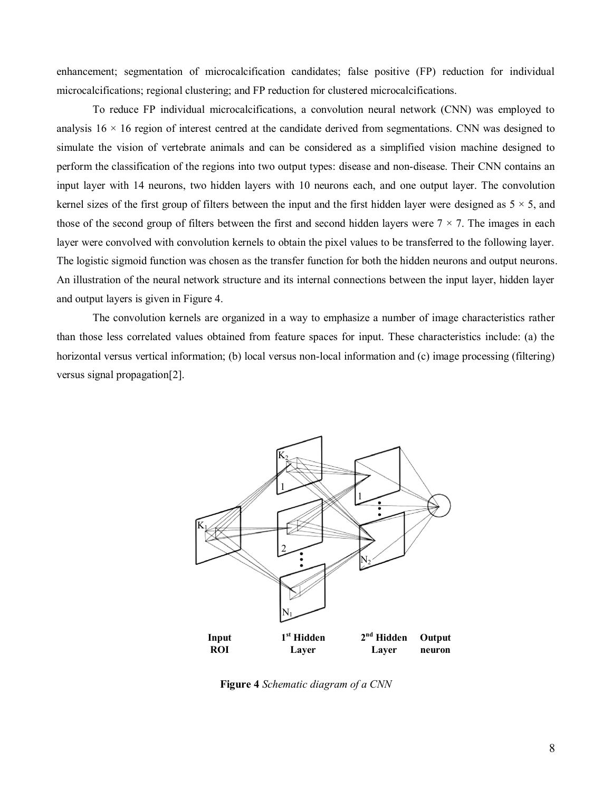enhancement; segmentation of microcalcification candidates; false positive (FP) reduction for individual microcalcifications; regional clustering; and FP reduction for clustered microcalcifications.

To reduce FP individual microcalcifications, a convolution neural network (CNN) was employed to analysis  $16 \times 16$  region of interest centred at the candidate derived from segmentations. CNN was designed to simulate the vision of vertebrate animals and can be considered as a simplified vision machine designed to perform the classification of the regions into two output types: disease and non-disease. Their CNN contains an input layer with 14 neurons, two hidden layers with 10 neurons each, and one output layer. The convolution kernel sizes of the first group of filters between the input and the first hidden layer were designed as  $5 \times 5$ , and those of the second group of filters between the first and second hidden layers were  $7 \times 7$ . The images in each layer were convolved with convolution kernels to obtain the pixel values to be transferred to the following layer. The logistic sigmoid function was chosen as the transfer function for both the hidden neurons and output neurons. An illustration of the neural network structure and its internal connections between the input layer, hidden layer and output layers is given in Figure 4.

The convolution kernels are organized in a way to emphasize a number of image characteristics rather than those less correlated values obtained from feature spaces for input. These characteristics include: (a) the horizontal versus vertical information; (b) local versus non-local information and (c) image processing (filtering) versus signal propagation[2].



**Figure 4** *Schematic diagram of a CNN*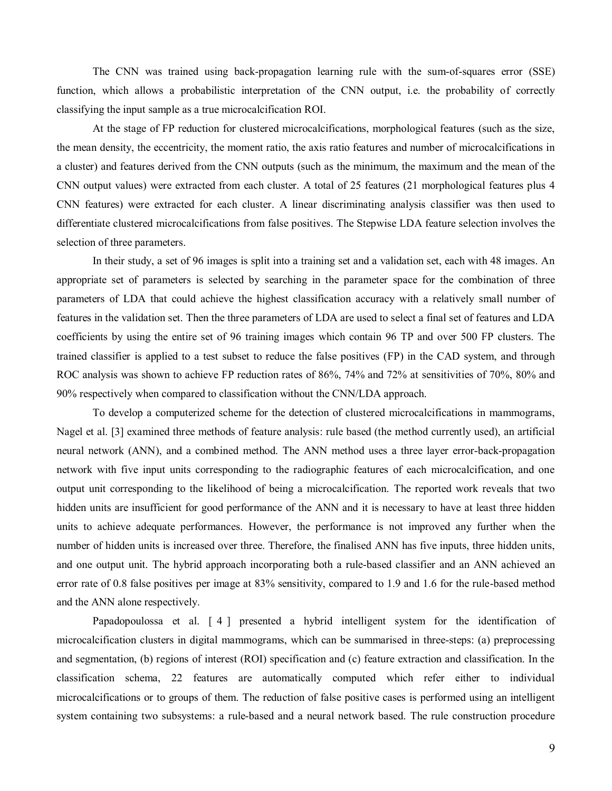The CNN was trained using back-propagation learning rule with the sum-of-squares error (SSE) function, which allows a probabilistic interpretation of the CNN output, i.e. the probability of correctly classifying the input sample as a true microcalcification ROI.

At the stage of FP reduction for clustered microcalcifications, morphological features (such as the size, the mean density, the eccentricity, the moment ratio, the axis ratio features and number of microcalcifications in a cluster) and features derived from the CNN outputs (such as the minimum, the maximum and the mean of the CNN output values) were extracted from each cluster. A total of 25 features (21 morphological features plus 4 CNN features) were extracted for each cluster. A linear discriminating analysis classifier was then used to differentiate clustered microcalcifications from false positives. The Stepwise LDA feature selection involves the selection of three parameters.

In their study, a set of 96 images is split into a training set and a validation set, each with 48 images. An appropriate set of parameters is selected by searching in the parameter space for the combination of three parameters of LDA that could achieve the highest classification accuracy with a relatively small number of features in the validation set. Then the three parameters of LDA are used to select a final set of features and LDA coefficients by using the entire set of 96 training images which contain 96 TP and over 500 FP clusters. The trained classifier is applied to a test subset to reduce the false positives (FP) in the CAD system, and through ROC analysis was shown to achieve FP reduction rates of 86%, 74% and 72% at sensitivities of 70%, 80% and 90% respectively when compared to classification without the CNN/LDA approach.

<span id="page-8-0"></span>To develop a computerized scheme for the detection of clustered microcalcifications in mammograms, Nagel et al. [3] examined three methods of feature analysis: rule based (the method currently used), an artificial neural network (ANN), and a combined method. The ANN method uses a three layer error-back-propagation network with five input units corresponding to the radiographic features of each microcalcification, and one output unit corresponding to the likelihood of being a microcalcification. The reported work reveals that two hidden units are insufficient for good performance of the ANN and it is necessary to have at least three hidden units to achieve adequate performances. However, the performance is not improved any further when the number of hidden units is increased over three. Therefore, the finalised ANN has five inputs, three hidden units, and one output unit. The hybrid approach incorporating both a rule-based classifier and an ANN achieved an error rate of 0.8 false positives per image at 83% sensitivity, compared to 1.9 and 1.6 for the rule-based method and the ANN alone respectively.

Papadopoulossa et al. [4] presented a hybrid intelligent system for the identification of microcalcification clusters in digital mammograms, which can be summarised in three-steps: (a) preprocessing and segmentation, (b) regions of interest (ROI) specification and (c) feature extraction and classification. In the classification schema, 22 features are automatically computed which refer either to individual microcalcifications or to groups of them. The reduction of false positive cases is performed using an intelligent system containing two subsystems: a rule-based and a neural network based. The rule construction procedure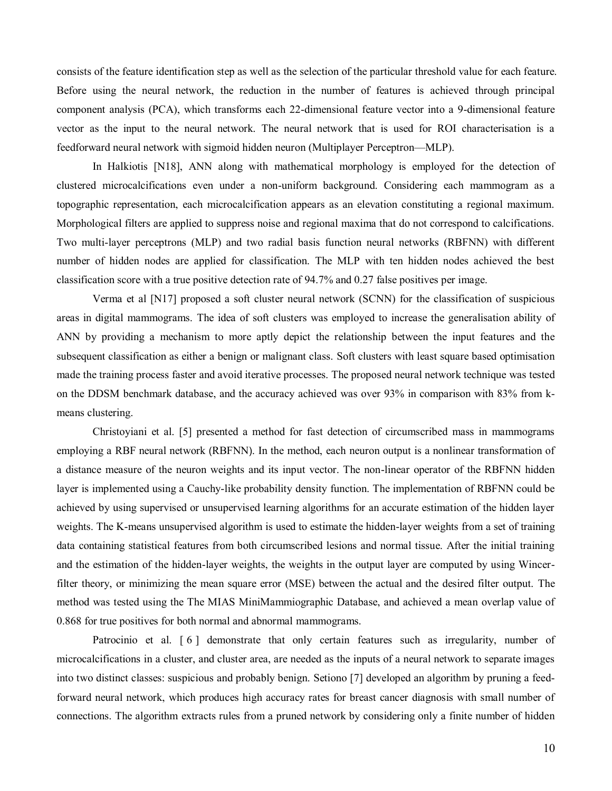consists of the feature identification step as well as the selection of the particular threshold value for each feature. Before using the neural network, the reduction in the number of features is achieved through principal component analysis (PCA), which transforms each 22-dimensional feature vector into a 9-dimensional feature vector as the input to the neural network. The neural network that is used for ROI characterisation is a feedforward neural network with sigmoid hidden neuron (Multiplayer Perceptron—MLP).

In Halkiotis [N18], ANN along with mathematical morphology is employed for the detection of clustered microcalcifications even under a non-uniform background. Considering each mammogram as a topographic representation, each microcalcification appears as an elevation constituting a regional maximum. Morphological filters are applied to suppress noise and regional maxima that do not correspond to calcifications. Two multi-layer perceptrons (MLP) and two radial basis function neural networks (RBFNN) with different number of hidden nodes are applied for classification. The MLP with ten hidden nodes achieved the best classification score with a true positive detection rate of 94.7% and 0.27 false positives per image.

Verma et al [N17] proposed a soft cluster neural network (SCNN) for the classification of suspicious areas in digital mammograms. The idea of soft clusters was employed to increase the generalisation ability of ANN by providing a mechanism to more aptly depict the relationship between the input features and the subsequent classification as either a benign or malignant class. Soft clusters with least square based optimisation made the training process faster and avoid iterative processes. The proposed neural network technique was tested on the DDSM benchmark database, and the accuracy achieved was over 93% in comparison with 83% from kmeans clustering.

<span id="page-9-0"></span>Christoyiani et al. [5] presented a method for fast detection of circumscribed mass in mammograms employing a RBF neural network (RBFNN). In the method, each neuron output is a nonlinear transformation of a distance measure of the neuron weights and its input vector. The non-linear operator of the RBFNN hidden layer is implemented using a Cauchy-like probability density function. The implementation of RBFNN could be achieved by using supervised or unsupervised learning algorithms for an accurate estimation of the hidden layer weights. The K-means unsupervised algorithm is used to estimate the hidden-layer weights from a set of training data containing statistical features from both circumscribed lesions and normal tissue. After the initial training and the estimation of the hidden-layer weights, the weights in the output layer are computed by using Wincerfilter theory, or minimizing the mean square error (MSE) between the actual and the desired filter output. The method was tested using the The MIAS MiniMammiographic Database, and achieved a mean overlap value of 0.868 for true positives for both normal and abnormal mammograms.

Patrocinio et al. [6] demonstrate that only certain features such as irregularity, number of microcalcifications in a cluster, and cluster area, are needed as the inputs of a neural network to separate images into two distinct classes: suspicious and probably benign. Setiono [7] developed an algorithm by pruning a feedforward neural network, which produces high accuracy rates for breast cancer diagnosis with small number of connections. The algorithm extracts rules from a pruned network by considering only a finite number of hidden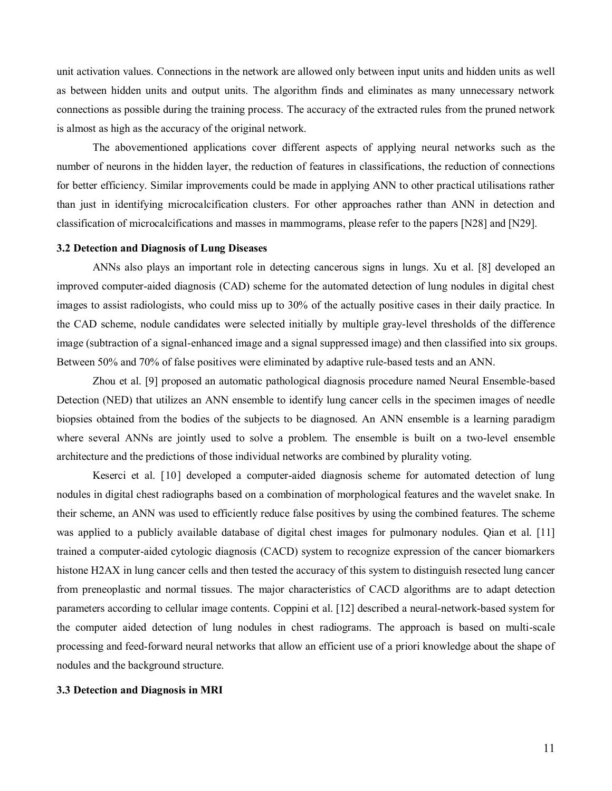unit activation values. Connections in the network are allowed only between input units and hidden units as well as between hidden units and output units. The algorithm finds and eliminates as many unnecessary network connections as possible during the training process. The accuracy of the extracted rules from the pruned network is almost as high as the accuracy of the original network.

The abovementioned applications cover different aspects of applying neural networks such as the number of neurons in the hidden layer, the reduction of features in classifications, the reduction of connections for better efficiency. Similar improvements could be made in applying ANN to other practical utilisations rather than just in identifying microcalcification clusters. For other approaches rather than ANN in detection and classification of microcalcifications and masses in mammograms, please refer to the papers [N28] and [N29].

### **3.2 Detection and Diagnosis of Lung Diseases**

<span id="page-10-0"></span>ANNs also plays an important role in detecting cancerous signs in lungs. Xu et al. [8] developed an improved computer-aided diagnosis (CAD) scheme for the automated detection of lung nodules in digital chest images to assist radiologists, who could miss up to 30% of the actually positive cases in their daily practice. In the CAD scheme, nodule candidates were selected initially by multiple gray-level thresholds of the difference image (subtraction of a signal-enhanced image and a signal suppressed image) and then classified into six groups. Between 50% and 70% of false positives were eliminated by adaptive rule-based tests and an ANN.

Zhou et al. [9] proposed an automatic pathological diagnosis procedure named Neural Ensemble-based Detection (NED) that utilizes an ANN ensemble to identify lung cancer cells in the specimen images of needle biopsies obtained from the bodies of the subjects to be diagnosed. An ANN ensemble is a learning paradigm where several ANNs are jointly used to solve a problem. The ensemble is built on a two-level ensemble architecture and the predictions of those individual networks are combined by plurality voting.

<span id="page-10-1"></span>Keserci et al. [10] developed a computer-aided diagnosis scheme for automated detection of lung nodules in digital chest radiographs based on a combination of morphological features and the wavelet snake. In their scheme, an ANN was used to efficiently reduce false positives by using the combined features. The scheme was applied to a publicly available database of digital chest images for pulmonary nodules. Qian et al. [11] trained a computer-aided cytologic diagnosis (CACD) system to recognize expression of the cancer biomarkers histone H2AX in lung cancer cells and then tested the accuracy of this system to distinguish resected lung cancer from preneoplastic and normal tissues. The major characteristics of CACD algorithms are to adapt detection parameters according to cellular image contents. Coppini et al. [12] described a neural-network-based system for the computer aided detection of lung nodules in chest radiograms. The approach is based on multi-scale processing and feed-forward neural networks that allow an efficient use of a priori knowledge about the shape of nodules and the background structure.

## <span id="page-10-2"></span>**3.3 Detection and Diagnosis in MRI**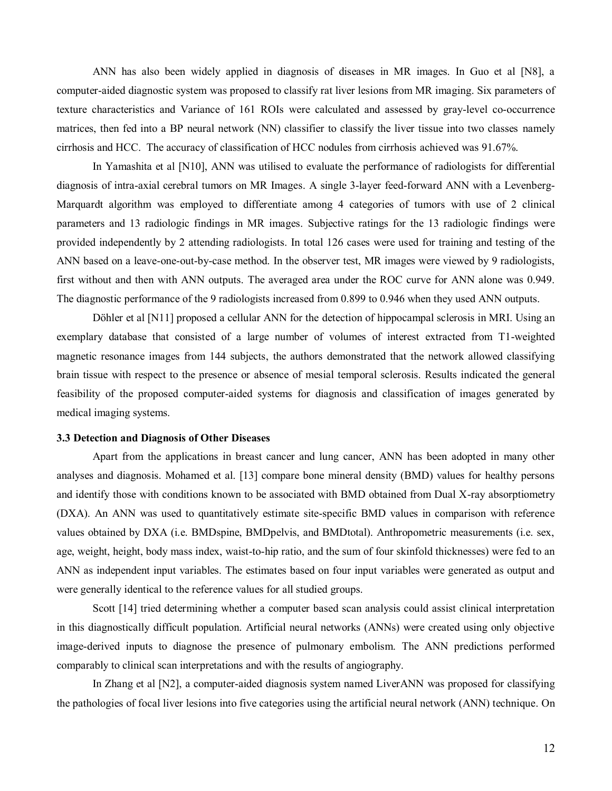ANN has also been widely applied in diagnosis of diseases in MR images. In Guo et al [N8], a computer-aided diagnostic system was proposed to classify rat liver lesions from MR imaging. Six parameters of texture characteristics and Variance of 161 ROIs were calculated and assessed by gray-level co-occurrence matrices, then fed into a BP neural network (NN) classifier to classify the liver tissue into two classes namely cirrhosis and HCC. The accuracy of classification of HCC nodules from cirrhosis achieved was 91.67%.

In Yamashita et al [N10], ANN was utilised to evaluate the performance of radiologists for differential diagnosis of intra-axial cerebral tumors on MR Images. A single 3-layer feed-forward ANN with a Levenberg-Marquardt algorithm was employed to differentiate among 4 categories of tumors with use of 2 clinical parameters and 13 radiologic findings in MR images. Subjective ratings for the 13 radiologic findings were provided independently by 2 attending radiologists. In total 126 cases were used for training and testing of the ANN based on a leave-one-out-by-case method. In the observer test, MR images were viewed by 9 radiologists, first without and then with ANN outputs. The averaged area under the ROC curve for ANN alone was 0.949. The diagnostic performance of the 9 radiologists increased from 0.899 to 0.946 when they used ANN outputs.

Döhler et al [N11] proposed a cellular ANN for the detection of hippocampal sclerosis in MRI. Using an exemplary database that consisted of a large number of volumes of interest extracted from T1-weighted magnetic resonance images from 144 subjects, the authors demonstrated that the network allowed classifying brain tissue with respect to the presence or absence of mesial temporal sclerosis. Results indicated the general feasibility of the proposed computer-aided systems for diagnosis and classification of images generated by medical imaging systems.

#### **3.3 Detection and Diagnosis of Other Diseases**

Apart from the applications in breast cancer and lung cancer, ANN has been adopted in many other analyses and diagnosis. Mohamed et al. [13] compare bone mineral density (BMD) values for healthy persons and identify those with conditions known to be associated with BMD obtained from Dual X-ray absorptiometry (DXA). An ANN was used to quantitatively estimate site-specific BMD values in comparison with reference values obtained by DXA (i.e. BMDspine, BMDpelvis, and BMDtotal). Anthropometric measurements (i.e. sex, age, weight, height, body mass index, waist-to-hip ratio, and the sum of four skinfold thicknesses) were fed to an ANN as independent input variables. The estimates based on four input variables were generated as output and were generally identical to the reference values for all studied groups.

<span id="page-11-0"></span>Scott [14] tried determining whether a computer based scan analysis could assist clinical interpretation in this diagnostically difficult population. Artificial neural networks (ANNs) were created using only objective image-derived inputs to diagnose the presence of pulmonary embolism. The ANN predictions performed comparably to clinical scan interpretations and with the results of angiography.

In Zhang et al [N2], a computer-aided diagnosis system named LiverANN was proposed for classifying the pathologies of focal liver lesions into five categories using the artificial neural network (ANN) technique. On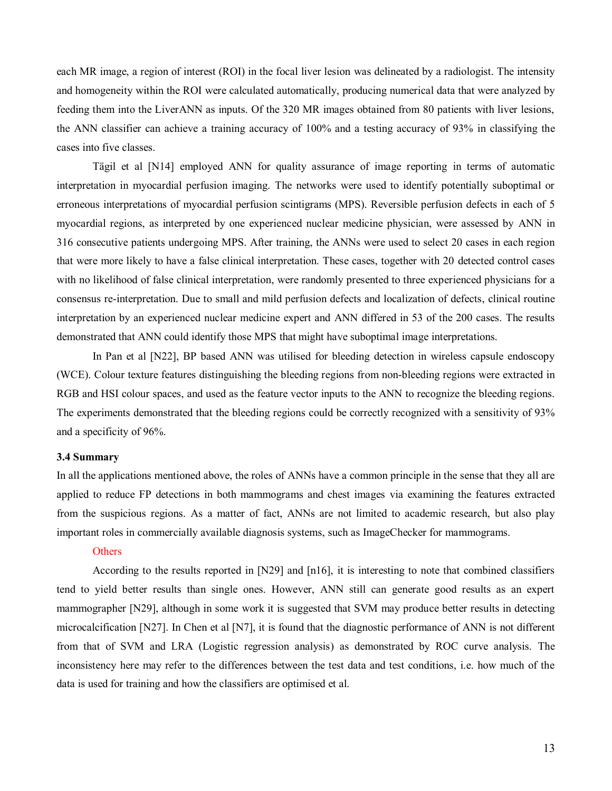each MR image, a region of interest (ROI) in the focal liver lesion was delineated by a radiologist. The intensity and homogeneity within the ROI were calculated automatically, producing numerical data that were analyzed by feeding them into the LiverANN as inputs. Of the 320 MR images obtained from 80 patients with liver lesions, the ANN classifier can achieve a training accuracy of 100% and a testing accuracy of 93% in classifying the cases into five classes.

Tägil et al [N14] employed ANN for quality assurance of image reporting in terms of automatic interpretation in myocardial perfusion imaging. The networks were used to identify potentially suboptimal or erroneous interpretations of myocardial perfusion scintigrams (MPS). Reversible perfusion defects in each of 5 myocardial regions, as interpreted by one experienced nuclear medicine physician, were assessed by ANN in 316 consecutive patients undergoing MPS. After training, the ANNs were used to select 20 cases in each region that were more likely to have a false clinical interpretation. These cases, together with 20 detected control cases with no likelihood of false clinical interpretation, were randomly presented to three experienced physicians for a consensus re-interpretation. Due to small and mild perfusion defects and localization of defects, clinical routine interpretation by an experienced nuclear medicine expert and ANN differed in 53 of the 200 cases. The results demonstrated that ANN could identify those MPS that might have suboptimal image interpretations.

In Pan et al [N22], BP based ANN was utilised for bleeding detection in wireless capsule endoscopy (WCE). Colour texture features distinguishing the bleeding regions from non-bleeding regions were extracted in RGB and HSI colour spaces, and used as the feature vector inputs to the ANN to recognize the bleeding regions. The experiments demonstrated that the bleeding regions could be correctly recognized with a sensitivity of 93% and a specificity of 96%.

#### **3.4 Summary**

In all the applications mentioned above, the roles of ANNs have a common principle in the sense that they all are applied to reduce FP detections in both mammograms and chest images via examining the features extracted from the suspicious regions. As a matter of fact, ANNs are not limited to academic research, but also play important roles in commercially available diagnosis systems, such as ImageChecker for mammograms.

### **Others**

According to the results reported in [N29] and [n16], it is interesting to note that combined classifiers tend to yield better results than single ones. However, ANN still can generate good results as an expert mammographer [N29], although in some work it is suggested that SVM may produce better results in detecting microcalcification [N27]. In Chen et al [N7], it is found that the diagnostic performance of ANN is not different from that of SVM and LRA (Logistic regression analysis) as demonstrated by ROC curve analysis. The inconsistency here may refer to the differences between the test data and test conditions, i.e. how much of the data is used for training and how the classifiers are optimised et al.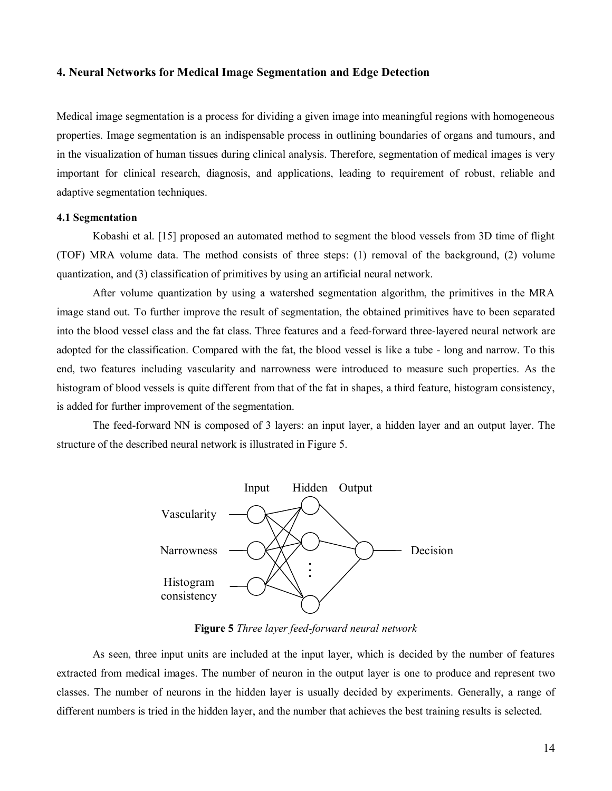## **4. Neural Networks for Medical Image Segmentation and Edge Detection**

Medical image segmentation is a process for dividing a given image into meaningful regions with homogeneous properties. Image segmentation is an indispensable process in outlining boundaries of organs and tumours, and in the visualization of human tissues during clinical analysis. Therefore, segmentation of medical images is very important for clinical research, diagnosis, and applications, leading to requirement of robust, reliable and adaptive segmentation techniques.

## **4.1 Segmentation**

<span id="page-13-0"></span>Kobashi et al. [15] proposed an automated method to segment the blood vessels from 3D time of flight (TOF) MRA volume data. The method consists of three steps: (1) removal of the background, (2) volume quantization, and (3) classification of primitives by using an artificial neural network.

After volume quantization by using a watershed segmentation algorithm, the primitives in the MRA image stand out. To further improve the result of segmentation, the obtained primitives have to been separated into the blood vessel class and the fat class. Three features and a feed-forward three-layered neural network are adopted for the classification. Compared with the fat, the blood vessel is like a tube - long and narrow. To this end, two features including vascularity and narrowness were introduced to measure such properties. As the histogram of blood vessels is quite different from that of the fat in shapes, a third feature, histogram consistency, is added for further improvement of the segmentation.

The feed-forward NN is composed of 3 layers: an input layer, a hidden layer and an output layer. The structure of the described neural network is illustrated in Figure 5.



**Figure 5** *Three layer feed-forward neural network*

As seen, three input units are included at the input layer, which is decided by the number of features extracted from medical images. The number of neuron in the output layer is one to produce and represent two classes. The number of neurons in the hidden layer is usually decided by experiments. Generally, a range of different numbers is tried in the hidden layer, and the number that achieves the best training results is selected.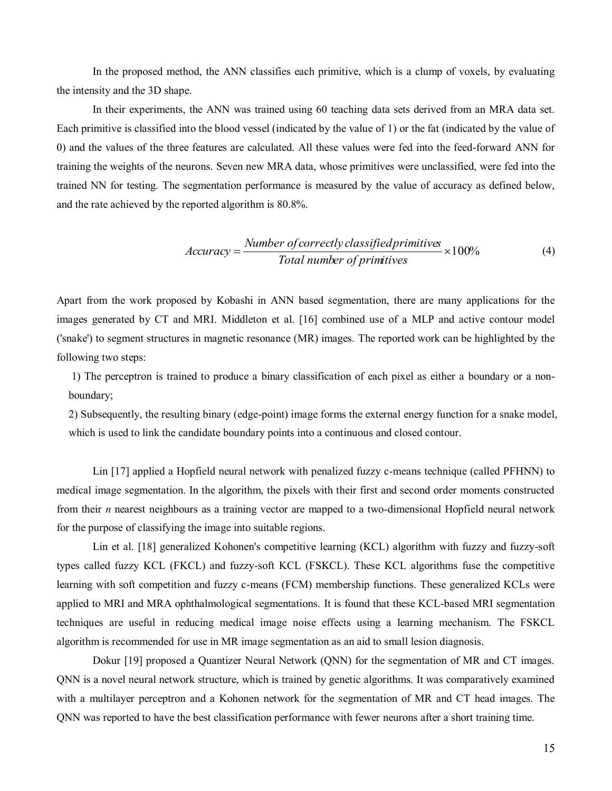In the proposed method, the ANN classifies each primitive, which is a clump of voxels, by evaluating the intensity and the 3D shape.

In their experiments, the ANN was trained using 60 teaching data sets derived from an MRA data set. Each primitive is classified into the blood vessel (indicated by the value of 1) or the fat (indicated by the value of 0) and the values of the three features are calculated. All these values were fed into the feed-forward ANN for training the weights of the neurons. Seven new MRA data, whose primitives were unclassified, were fed into the trained NN for testing. The segmentation performance is measured by the value of accuracy as defined below, and the rate achieved by the reported algorithm is 80.8%.

$$
Accuracy = \frac{Number of correctly classified primitives}{Total number of primitives} \times 100\%
$$
 (4)

Apart from the work proposed by Kobashi in ANN based segmentation, there are many applications for the images generated by CT and MRI. Middleton et al. [16] combined use of a MLP and active contour model ('snake') to segment structures in magnetic resonance (MR) images. The reported work can be highlighted by the following two steps:

1) The perceptron is trained to produce a binary classification of each pixel as either a boundary or a nonboundary;

2) Subsequently, the resulting binary (edge-point) image forms the external energy function for a snake model, which is used to link the candidate boundary points into a continuous and closed contour.

Lin [17] applied a Hopfield neural network with penalized fuzzy c-means technique (called PFHNN) to medical image segmentation. In the algorithm, the pixels with their first and second order moments constructed from their *n* nearest neighbours as a training vector are mapped to a two-dimensional Hopfield neural network for the purpose of classifying the image into suitable regions.

Lin et al. [18] generalized Kohonen's competitive learning (KCL) algorithm with fuzzy and fuzzy-soft types called fuzzy KCL (FKCL) and fuzzy-soft KCL (FSKCL). These KCL algorithms fuse the competitive learning with soft competition and fuzzy c-means (FCM) membership functions. These generalized KCLs were applied to MRI and MRA ophthalmological segmentations. It is found that these KCL-based MRI segmentation techniques are useful in reducing medical image noise effects using a learning mechanism. The FSKCL algorithm is recommended for use in MR image segmentation as an aid to small lesion diagnosis.

Dokur [19] proposed a Quantizer Neural Network (QNN) for the segmentation of MR and CT images. QNN is a novel neural network structure, which is trained by genetic algorithms. It was comparatively examined with a multilayer perceptron and a Kohonen network for the segmentation of MR and CT head images. The QNN was reported to have the best classification performance with fewer neurons after a short training time.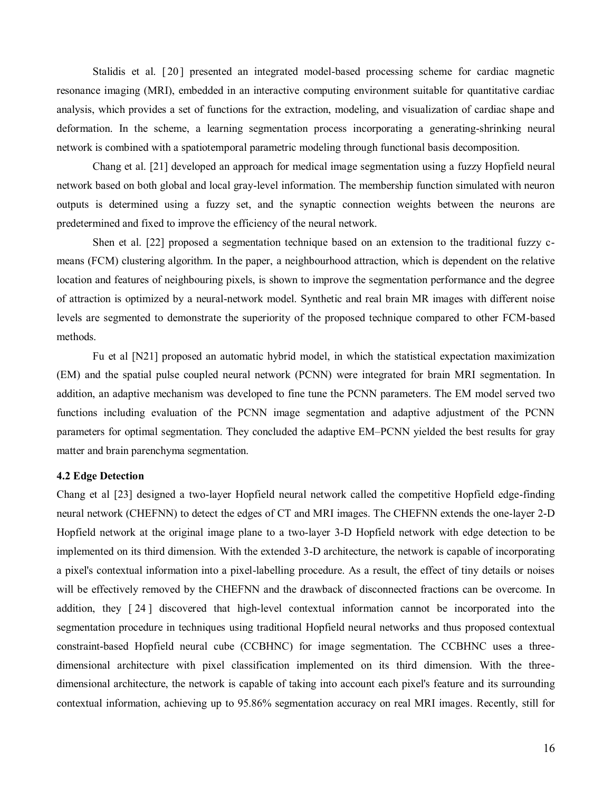<span id="page-15-0"></span>Stalidis et al. [ 20 ] presented an integrated model-based processing scheme for cardiac magnetic resonance imaging (MRI), embedded in an interactive computing environment suitable for quantitative cardiac analysis, which provides a set of functions for the extraction, modeling, and visualization of cardiac shape and deformation. In the scheme, a learning segmentation process incorporating a generating-shrinking neural network is combined with a spatiotemporal parametric modeling through functional basis decomposition.

Chang et al. [21] developed an approach for medical image segmentation using a fuzzy Hopfield neural network based on both global and local gray-level information. The membership function simulated with neuron outputs is determined using a fuzzy set, and the synaptic connection weights between the neurons are predetermined and fixed to improve the efficiency of the neural network.

Shen et al. [22] proposed a segmentation technique based on an extension to the traditional fuzzy cmeans (FCM) clustering algorithm. In the paper, a neighbourhood attraction, which is dependent on the relative location and features of neighbouring pixels, is shown to improve the segmentation performance and the degree of attraction is optimized by a neural-network model. Synthetic and real brain MR images with different noise levels are segmented to demonstrate the superiority of the proposed technique compared to other FCM-based methods.

Fu et al [N21] proposed an automatic hybrid model, in which the statistical expectation maximization (EM) and the spatial pulse coupled neural network (PCNN) were integrated for brain MRI segmentation. In addition, an adaptive mechanism was developed to fine tune the PCNN parameters. The EM model served two functions including evaluation of the PCNN image segmentation and adaptive adjustment of the PCNN parameters for optimal segmentation. They concluded the adaptive EM–PCNN yielded the best results for gray matter and brain parenchyma segmentation.

## **4.2 Edge Detection**

Chang et al [23] designed a two-layer Hopfield neural network called the competitive Hopfield edge-finding neural network (CHEFNN) to detect the edges of CT and MRI images. The CHEFNN extends the one-layer 2-D Hopfield network at the original image plane to a two-layer 3-D Hopfield network with edge detection to be implemented on its third dimension. With the extended 3-D architecture, the network is capable of incorporating a pixel's contextual information into a pixel-labelling procedure. As a result, the effect of tiny details or noises will be effectively removed by the CHEFNN and the drawback of disconnected fractions can be overcome. In addition, they [ 24 ] discovered that high-level contextual information cannot be incorporated into the segmentation procedure in techniques using traditional Hopfield neural networks and thus proposed contextual constraint-based Hopfield neural cube (CCBHNC) for image segmentation. The CCBHNC uses a threedimensional architecture with pixel classification implemented on its third dimension. With the threedimensional architecture, the network is capable of taking into account each pixel's feature and its surrounding contextual information, achieving up to 95.86% segmentation accuracy on real MRI images. Recently, still for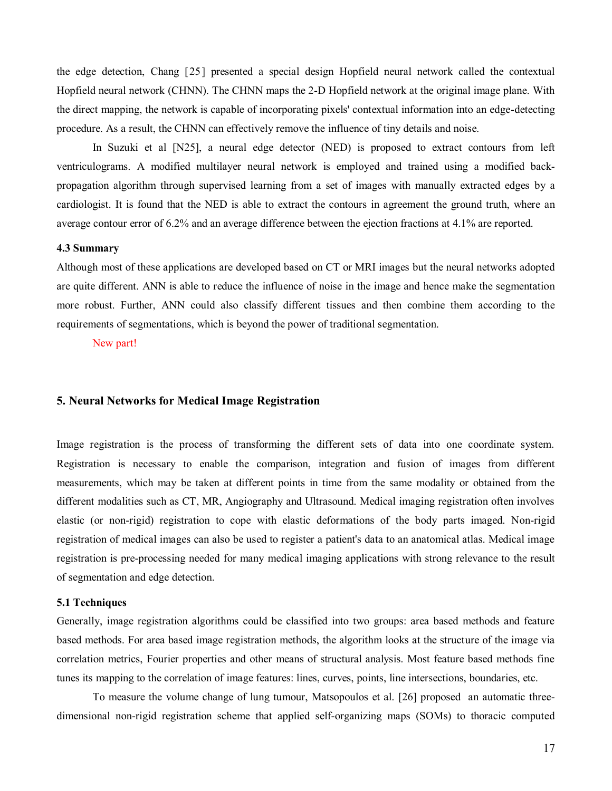the edge detection, Chang [25] presented a special design Hopfield neural network called the contextual Hopfield neural network (CHNN). The CHNN maps the 2-D Hopfield network at the original image plane. With the direct mapping, the network is capable of incorporating pixels' contextual information into an edge-detecting procedure. As a result, the CHNN can effectively remove the influence of tiny details and noise.

In Suzuki et al [N25], a neural edge detector (NED) is proposed to extract contours from left ventriculograms. A modified multilayer neural network is employed and trained using a modified backpropagation algorithm through supervised learning from a set of images with manually extracted edges by a cardiologist. It is found that the NED is able to extract the contours in agreement the ground truth, where an average contour error of 6.2% and an average difference between the ejection fractions at 4.1% are reported.

## **4.3 Summary**

Although most of these applications are developed based on CT or MRI images but the neural networks adopted are quite different. ANN is able to reduce the influence of noise in the image and hence make the segmentation more robust. Further, ANN could also classify different tissues and then combine them according to the requirements of segmentations, which is beyond the power of traditional segmentation.

New part!

# **5. Neural Networks for Medical Image Registration**

Image registration is the process of transforming the different sets of data into one coordinate system. Registration is necessary to enable the comparison, integration and fusion of images from different measurements, which may be taken at different points in time from the same modality or obtained from the different modalities such as CT, MR, Angiography and Ultrasound. Medical imaging registration often involves elastic (or non-rigid) registration to cope with elastic deformations of the body parts imaged. Non-rigid registration of medical images can also be used to register a patient's data to an anatomical atlas. Medical image registration is pre-processing needed for many medical imaging applications with strong relevance to the result of segmentation and edge detection.

## **5.1 Techniques**

Generally, image registration algorithms could be classified into two groups: area based methods and feature based methods. For area based image registration methods, the algorithm looks at the structure of the image via correlation metrics, Fourier properties and other means of structural analysis. Most feature based methods fine tunes its mapping to the correlation of image features: lines, curves, points, line intersections, boundaries, etc.

To measure the volume change of lung tumour, Matsopoulos et al. [26] proposed an automatic threedimensional non-rigid registration scheme that applied self-organizing maps (SOMs) to thoracic computed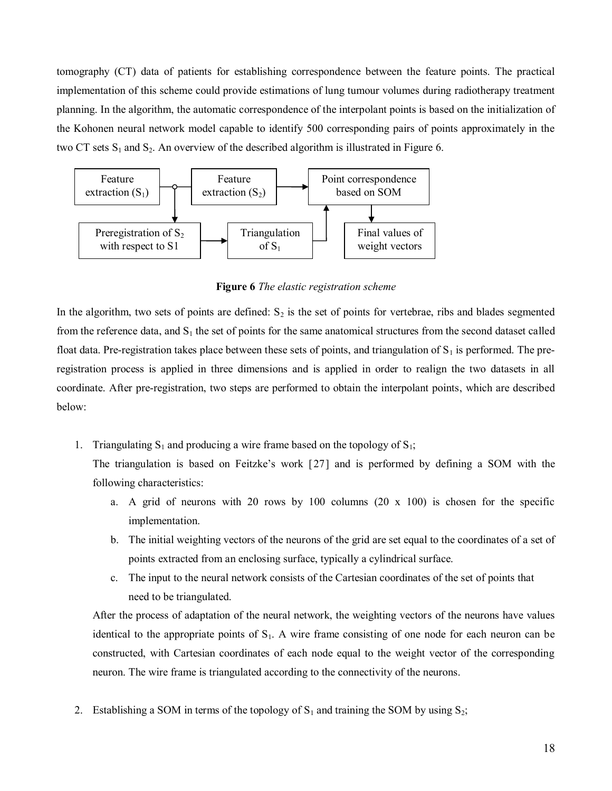tomography (CT) data of patients for establishing correspondence between the feature points. The practical implementation of this scheme could provide estimations of lung tumour volumes during radiotherapy treatment planning. In the algorithm, the automatic correspondence of the interpolant points is based on the initialization of the Kohonen neural network model capable to identify 500 corresponding pairs of points approximately in the two CT sets  $S_1$  and  $S_2$ . An overview of the described algorithm is illustrated in Figure 6.



**Figure 6** *The elastic registration scheme*

In the algorithm, two sets of points are defined:  $S_2$  is the set of points for vertebrae, ribs and blades segmented from the reference data, and  $S_1$  the set of points for the same anatomical structures from the second dataset called float data. Pre-registration takes place between these sets of points, and triangulation of  $S_1$  is performed. The preregistration process is applied in three dimensions and is applied in order to realign the two datasets in all coordinate. After pre-registration, two steps are performed to obtain the interpolant points, which are described below:

1. Triangulating  $S_1$  and producing a wire frame based on the topology of  $S_1$ ;

The triangulation is based on Feitzke's work [27] and is performed by defining a SOM with the following characteristics:

- a. A grid of neurons with 20 rows by 100 columns  $(20 \times 100)$  is chosen for the specific implementation.
- b. The initial weighting vectors of the neurons of the grid are set equal to the coordinates of a set of points extracted from an enclosing surface, typically a cylindrical surface.
- c. The input to the neural network consists of the Cartesian coordinates of the set of points that need to be triangulated.

After the process of adaptation of the neural network, the weighting vectors of the neurons have values identical to the appropriate points of  $S<sub>1</sub>$ . A wire frame consisting of one node for each neuron can be constructed, with Cartesian coordinates of each node equal to the weight vector of the corresponding neuron. The wire frame is triangulated according to the connectivity of the neurons.

2. Establishing a SOM in terms of the topology of  $S_1$  and training the SOM by using  $S_2$ ;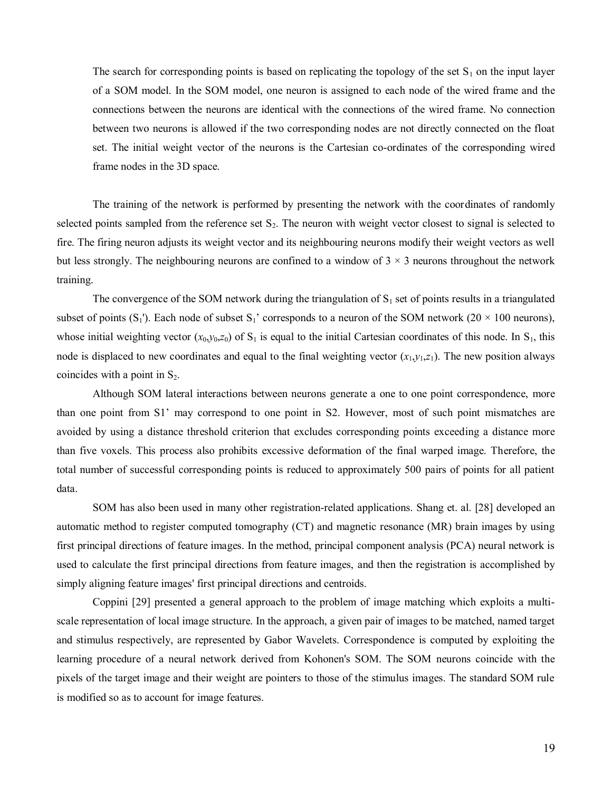The search for corresponding points is based on replicating the topology of the set  $S_1$  on the input layer of a SOM model. In the SOM model, one neuron is assigned to each node of the wired frame and the connections between the neurons are identical with the connections of the wired frame. No connection between two neurons is allowed if the two corresponding nodes are not directly connected on the float set. The initial weight vector of the neurons is the Cartesian co-ordinates of the corresponding wired frame nodes in the 3D space.

The training of the network is performed by presenting the network with the coordinates of randomly selected points sampled from the reference set  $S_2$ . The neuron with weight vector closest to signal is selected to fire. The firing neuron adjusts its weight vector and its neighbouring neurons modify their weight vectors as well but less strongly. The neighbouring neurons are confined to a window of  $3 \times 3$  neurons throughout the network training.

The convergence of the SOM network during the triangulation of  $S_1$  set of points results in a triangulated subset of points (S<sub>1</sub>'). Each node of subset S<sub>1</sub>' corresponds to a neuron of the SOM network (20  $\times$  100 neurons), whose initial weighting vector  $(x_0, y_0, z_0)$  of S<sub>1</sub> is equal to the initial Cartesian coordinates of this node. In S<sub>1</sub>, this node is displaced to new coordinates and equal to the final weighting vector  $(x_1, y_1, z_1)$ . The new position always coincides with a point in  $S<sub>2</sub>$ .

Although SOM lateral interactions between neurons generate a one to one point correspondence, more than one point from S1' may correspond to one point in S2. However, most of such point mismatches are avoided by using a distance threshold criterion that excludes corresponding points exceeding a distance more than five voxels. This process also prohibits excessive deformation of the final warped image. Therefore, the total number of successful corresponding points is reduced to approximately 500 pairs of points for all patient data.

SOM has also been used in many other registration-related applications. Shang et. al. [28] developed an automatic method to register computed tomography (CT) and magnetic resonance (MR) brain images by using first principal directions of feature images. In the method, principal component analysis (PCA) neural network is used to calculate the first principal directions from feature images, and then the registration is accomplished by simply aligning feature images' first principal directions and centroids.

Coppini [29] presented a general approach to the problem of image matching which exploits a multiscale representation of local image structure. In the approach, a given pair of images to be matched, named target and stimulus respectively, are represented by Gabor Wavelets. Correspondence is computed by exploiting the learning procedure of a neural network derived from Kohonen's SOM. The SOM neurons coincide with the pixels of the target image and their weight are pointers to those of the stimulus images. The standard SOM rule is modified so as to account for image features.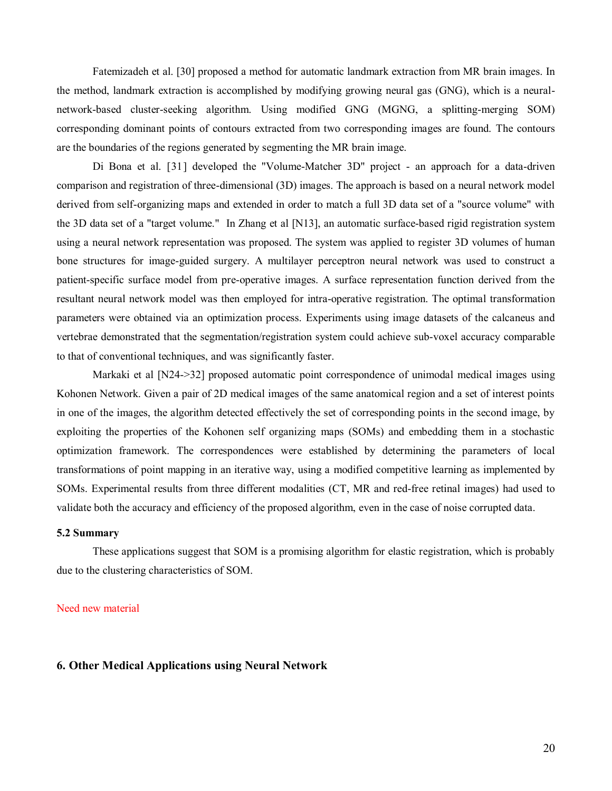Fatemizadeh et al. [30] proposed a method for automatic landmark extraction from MR brain images. In the method, landmark extraction is accomplished by modifying growing neural gas (GNG), which is a neuralnetwork-based cluster-seeking algorithm. Using modified GNG (MGNG, a splitting-merging SOM) corresponding dominant points of contours extracted from two corresponding images are found. The contours are the boundaries of the regions generated by segmenting the MR brain image.

Di Bona et al. [31] developed the "Volume-Matcher 3D" project - an approach for a data-driven comparison and registration of three-dimensional (3D) images. The approach is based on a neural network model derived from self-organizing maps and extended in order to match a full 3D data set of a "source volume" with the 3D data set of a "target volume." In Zhang et al [N13], an automatic surface-based rigid registration system using a neural network representation was proposed. The system was applied to register 3D volumes of human bone structures for image-guided surgery. A multilayer perceptron neural network was used to construct a patient-specific surface model from pre-operative images. A surface representation function derived from the resultant neural network model was then employed for intra-operative registration. The optimal transformation parameters were obtained via an optimization process. Experiments using image datasets of the calcaneus and vertebrae demonstrated that the segmentation/registration system could achieve sub-voxel accuracy comparable to that of conventional techniques, and was significantly faster.

Markaki et al [N24->32] proposed automatic point correspondence of unimodal medical images using Kohonen Network. Given a pair of 2D medical images of the same anatomical region and a set of interest points in one of the images, the algorithm detected effectively the set of corresponding points in the second image, by exploiting the properties of the Kohonen self organizing maps (SOMs) and embedding them in a stochastic optimization framework. The correspondences were established by determining the parameters of local transformations of point mapping in an iterative way, using a modified competitive learning as implemented by SOMs. Experimental results from three different modalities (CT, MR and red-free retinal images) had used to validate both the accuracy and efficiency of the proposed algorithm, even in the case of noise corrupted data.

## **5.2 Summary**

These applications suggest that SOM is a promising algorithm for elastic registration, which is probably due to the clustering characteristics of SOM.

## Need new material

## **6. Other Medical Applications using Neural Network**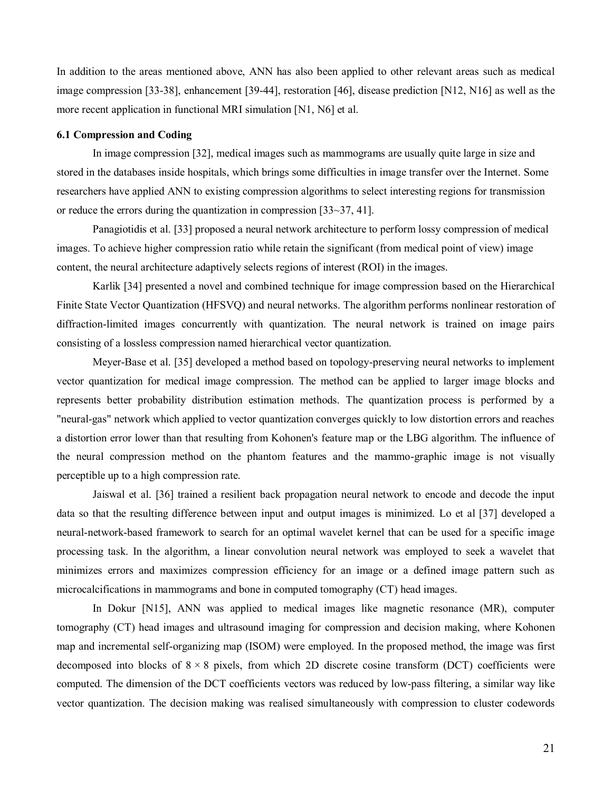In addition to the areas mentioned above, ANN has also been applied to other relevant areas such as medical image compression [33-38], enhancement [39-44], restoration [46], disease prediction [N12, N16] as well as the more recent application in functional MRI simulation [N1, N6] et al.

## **6.1 Compression and Coding**

In image compression [32], medical images such as mammograms are usually quite large in size and stored in the databases inside hospitals, which brings some difficulties in image transfer over the Internet. Some researchers have applied ANN to existing compression algorithms to select interesting regions for transmission or reduce the errors during the quantization in compression [33~37, 41].

Panagiotidis et al. [33] proposed a neural network architecture to perform lossy compression of medical images. To achieve higher compression ratio while retain the significant (from medical point of view) image content, the neural architecture adaptively selects regions of interest (ROI) in the images.

Karlik [34] presented a novel and combined technique for image compression based on the Hierarchical Finite State Vector Quantization (HFSVQ) and neural networks. The algorithm performs nonlinear restoration of diffraction-limited images concurrently with quantization. The neural network is trained on image pairs consisting of a lossless compression named hierarchical vector quantization.

Meyer-Base et al. [35] developed a method based on topology-preserving neural networks to implement vector quantization for medical image compression. The method can be applied to larger image blocks and represents better probability distribution estimation methods. The quantization process is performed by a "neural-gas" network which applied to vector quantization converges quickly to low distortion errors and reaches a distortion error lower than that resulting from Kohonen's feature map or the LBG algorithm. The influence of the neural compression method on the phantom features and the mammo-graphic image is not visually perceptible up to a high compression rate.

Jaiswal et al. [36] trained a resilient back propagation neural network to encode and decode the input data so that the resulting difference between input and output images is minimized. Lo et al [37] developed a neural-network-based framework to search for an optimal wavelet kernel that can be used for a specific image processing task. In the algorithm, a linear convolution neural network was employed to seek a wavelet that minimizes errors and maximizes compression efficiency for an image or a defined image pattern such as microcalcifications in mammograms and bone in computed tomography (CT) head images.

In Dokur [N15], ANN was applied to medical images like magnetic resonance (MR), computer tomography (CT) head images and ultrasound imaging for compression and decision making, where Kohonen map and incremental self-organizing map (ISOM) were employed. In the proposed method, the image was first decomposed into blocks of  $8 \times 8$  pixels, from which 2D discrete cosine transform (DCT) coefficients were computed. The dimension of the DCT coefficients vectors was reduced by low-pass filtering, a similar way like vector quantization. The decision making was realised simultaneously with compression to cluster codewords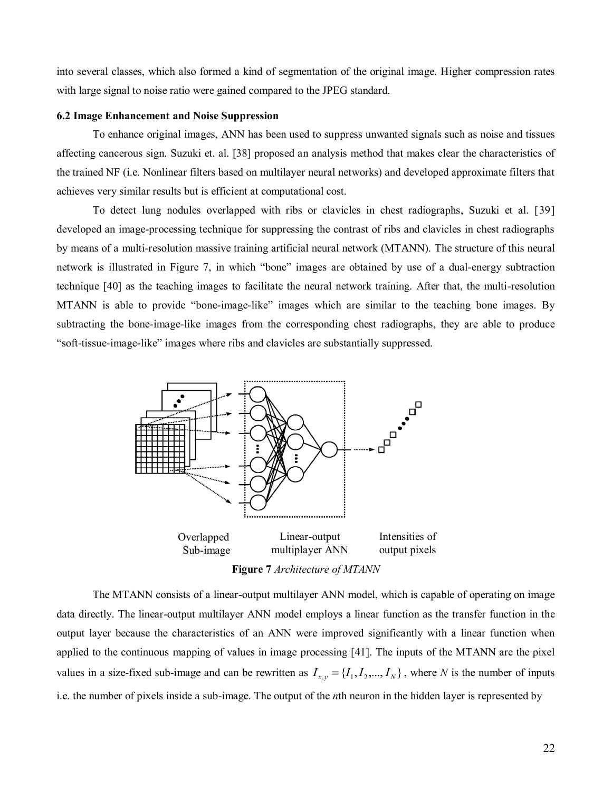into several classes, which also formed a kind of segmentation of the original image. Higher compression rates with large signal to noise ratio were gained compared to the JPEG standard.

# **6.2 Image Enhancement and Noise Suppression**

<span id="page-21-0"></span>To enhance original images, ANN has been used to suppress unwanted signals such as noise and tissues affecting cancerous sign. Suzuki et. al. [38] proposed an analysis method that makes clear the characteristics of the trained NF (i.e. Nonlinear filters based on multilayer neural networks) and developed approximate filters that achieves very similar results but is efficient at computational cost.

To detect lung nodules overlapped with ribs or clavicles in chest radiographs, Suzuki et al. [39] developed an image-processing technique for suppressing the contrast of ribs and clavicles in chest radiographs by means of a multi-resolution massive training artificial neural network (MTANN). The structure of this neural network is illustrated in Figure 7, in which "bone" images are obtained by use of a dual-energy subtraction technique [40] as the teaching images to facilitate the neural network training. After that, the multi-resolution MTANN is able to provide "bone-image-like" images which are similar to the teaching bone images. By subtracting the bone-image-like images from the corresponding chest radiographs, they are able to produce ―soft-tissue-image-like‖ images where ribs and clavicles are substantially suppressed.

<span id="page-21-1"></span>

**Figure 7** *Architecture of MTANN*

The MTANN consists of a linear-output multilayer ANN model, which is capable of operating on image data directly. The linear-output multilayer ANN model employs a linear function as the transfer function in the output layer because the characteristics of an ANN were improved significantly with a linear function when applied to the continuous mapping of values in image processing [41]. The inputs of the MTANN are the pixel values in a size-fixed sub-image and can be rewritten as  $I_{x,y} = \{I_1, I_2, ..., I_N\}$ , where *N* is the number of inputs i.e. the number of pixels inside a sub-image. The output of the *n*th neuron in the hidden layer is represented by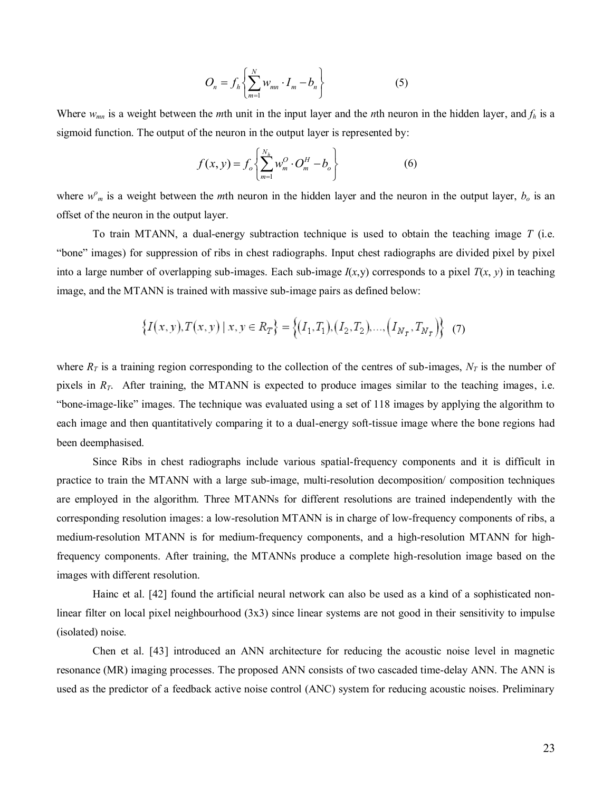$$
O_n = f_h \left\{ \sum_{m=1}^{N} w_{mn} \cdot I_m - b_n \right\}
$$
 (5)

Where  $w_{mn}$  is a weight between the *m*th unit in the input layer and the *n*th neuron in the hidden layer, and  $f_h$  is a sigmoid function. The output of the neuron in the output layer is represented by:

$$
f(x, y) = f_o \left\{ \sum_{m=1}^{N_h} w_m^O \cdot O_m^H - b_o \right\}
$$
 (6)

where  $w<sup>o</sup>$ <sub>*m*</sub> is a weight between the *m*th neuron in the hidden layer and the neuron in the output layer,  $b<sup>o</sup>$  is an offset of the neuron in the output layer.

To train MTANN, a dual-energy subtraction technique is used to obtain the teaching image *T* (i.e. "bone" images) for suppression of ribs in chest radiographs. Input chest radiographs are divided pixel by pixel into a large number of overlapping sub-images. Each sub-image  $I(x, y)$  corresponds to a pixel  $T(x, y)$  in teaching image, and the MTANN is trained with massive sub-image pairs as defined below:

$$
\left\{ I(x, y), T(x, y) \mid x, y \in R_T \right\} = \left\{ (I_1, T_1), (I_2, T_2), ..., (I_{N_T}, T_{N_T}) \right\} (7)
$$

where  $R_T$  is a training region corresponding to the collection of the centres of sub-images,  $N_T$  is the number of pixels in *R<sub>T</sub>*. After training, the MTANN is expected to produce images similar to the teaching images, i.e. "bone-image-like" images. The technique was evaluated using a set of 118 images by applying the algorithm to each image and then quantitatively comparing it to a dual-energy soft-tissue image where the bone regions had been deemphasised.

Since Ribs in chest radiographs include various spatial-frequency components and it is difficult in practice to train the MTANN with a large sub-image, multi-resolution decomposition/ composition techniques are employed in the algorithm. Three MTANNs for different resolutions are trained independently with the corresponding resolution images: a low-resolution MTANN is in charge of low-frequency components of ribs, a medium-resolution MTANN is for medium-frequency components, and a high-resolution MTANN for highfrequency components. After training, the MTANNs produce a complete high-resolution image based on the images with different resolution.

Hainc et al. [42] found the artificial neural network can also be used as a kind of a sophisticated nonlinear filter on local pixel neighbourhood (3x3) since linear systems are not good in their sensitivity to impulse (isolated) noise.

Chen et al. [43] introduced an ANN architecture for reducing the acoustic noise level in magnetic resonance (MR) imaging processes. The proposed ANN consists of two cascaded time-delay ANN. The ANN is used as the predictor of a feedback active noise control (ANC) system for reducing acoustic noises. Preliminary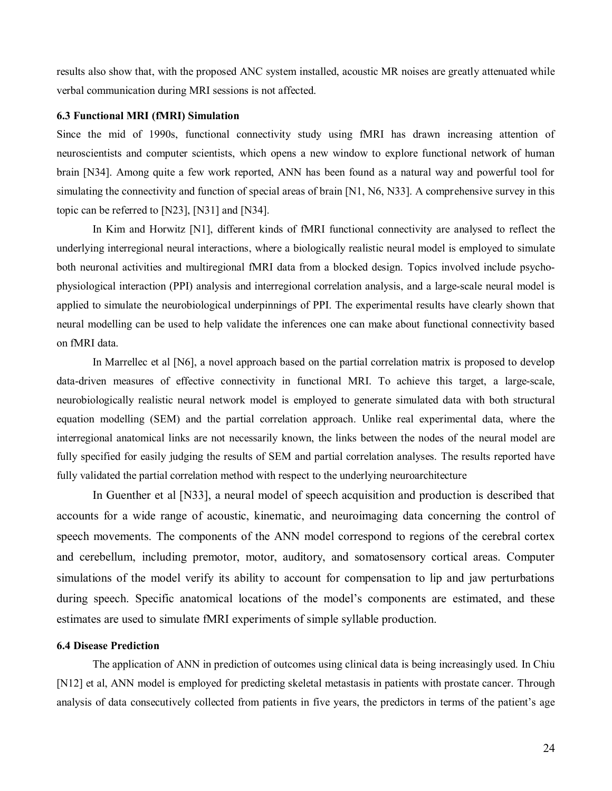results also show that, with the proposed ANC system installed, acoustic MR noises are greatly attenuated while verbal communication during MRI sessions is not affected.

# **6.3 Functional MRI (fMRI) Simulation**

Since the mid of 1990s, functional connectivity study using fMRI has drawn increasing attention of neuroscientists and computer scientists, which opens a new window to explore functional network of human brain [N34]. Among quite a few work reported, ANN has been found as a natural way and powerful tool for simulating the connectivity and function of special areas of brain [N1, N6, N33]. A comprehensive survey in this topic can be referred to [N23], [N31] and [N34].

In Kim and Horwitz [N1], different kinds of fMRI functional connectivity are analysed to reflect the underlying interregional neural interactions, where a biologically realistic neural model is employed to simulate both neuronal activities and multiregional fMRI data from a blocked design. Topics involved include psychophysiological interaction (PPI) analysis and interregional correlation analysis, and a large-scale neural model is applied to simulate the neurobiological underpinnings of PPI. The experimental results have clearly shown that neural modelling can be used to help validate the inferences one can make about functional connectivity based on fMRI data.

In Marrellec et al [N6], a novel approach based on the partial correlation matrix is proposed to develop data-driven measures of effective connectivity in functional MRI. To achieve this target, a large-scale, neurobiologically realistic neural network model is employed to generate simulated data with both structural equation modelling (SEM) and the partial correlation approach. Unlike real experimental data, where the interregional anatomical links are not necessarily known, the links between the nodes of the neural model are fully specified for easily judging the results of SEM and partial correlation analyses. The results reported have fully validated the partial correlation method with respect to the underlying neuroarchitecture

In Guenther et al [N33], a neural model of speech acquisition and production is described that accounts for a wide range of acoustic, kinematic, and neuroimaging data concerning the control of speech movements. The components of the ANN model correspond to regions of the cerebral cortex and cerebellum, including premotor, motor, auditory, and somatosensory cortical areas. Computer simulations of the model verify its ability to account for compensation to lip and jaw perturbations during speech. Specific anatomical locations of the model's components are estimated, and these estimates are used to simulate fMRI experiments of simple syllable production.

## **6.4 Disease Prediction**

The application of ANN in prediction of outcomes using clinical data is being increasingly used. In Chiu [N12] et al, ANN model is employed for predicting skeletal metastasis in patients with prostate cancer. Through analysis of data consecutively collected from patients in five years, the predictors in terms of the patient's age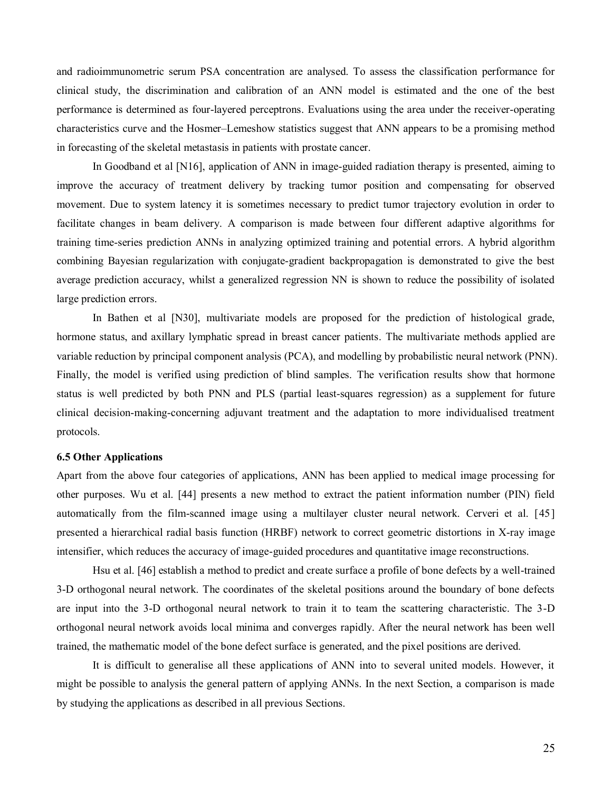and radioimmunometric serum PSA concentration are analysed. To assess the classification performance for clinical study, the discrimination and calibration of an ANN model is estimated and the one of the best performance is determined as four-layered perceptrons. Evaluations using the area under the receiver-operating characteristics curve and the Hosmer–Lemeshow statistics suggest that ANN appears to be a promising method in forecasting of the skeletal metastasis in patients with prostate cancer.

In Goodband et al [N16], application of ANN in image-guided radiation therapy is presented, aiming to improve the accuracy of treatment delivery by tracking tumor position and compensating for observed movement. Due to system latency it is sometimes necessary to predict tumor trajectory evolution in order to facilitate changes in beam delivery. A comparison is made between four different adaptive algorithms for training time-series prediction ANNs in analyzing optimized training and potential errors. A hybrid algorithm combining Bayesian regularization with conjugate-gradient backpropagation is demonstrated to give the best average prediction accuracy, whilst a generalized regression NN is shown to reduce the possibility of isolated large prediction errors.

In Bathen et al [N30], multivariate models are proposed for the prediction of histological grade, hormone status, and axillary lymphatic spread in breast cancer patients. The multivariate methods applied are variable reduction by principal component analysis (PCA), and modelling by probabilistic neural network (PNN). Finally, the model is verified using prediction of blind samples. The verification results show that hormone status is well predicted by both PNN and PLS (partial least-squares regression) as a supplement for future clinical decision-making-concerning adjuvant treatment and the adaptation to more individualised treatment protocols.

#### **6.5 Other Applications**

Apart from the above four categories of applications, ANN has been applied to medical image processing for other purposes. Wu et al. [44] presents a new method to extract the patient information number (PIN) field automatically from the film-scanned image using a multilayer cluster neural network. Cerveri et al. [45] presented a hierarchical radial basis function (HRBF) network to correct geometric distortions in X-ray image intensifier, which reduces the accuracy of image-guided procedures and quantitative image reconstructions.

Hsu et al. [46] establish a method to predict and create surface a profile of bone defects by a well-trained 3-D orthogonal neural network. The coordinates of the skeletal positions around the boundary of bone defects are input into the 3-D orthogonal neural network to train it to team the scattering characteristic. The 3-D orthogonal neural network avoids local minima and converges rapidly. After the neural network has been well trained, the mathematic model of the bone defect surface is generated, and the pixel positions are derived.

It is difficult to generalise all these applications of ANN into to several united models. However, it might be possible to analysis the general pattern of applying ANNs. In the next Section, a comparison is made by studying the applications as described in all previous Sections.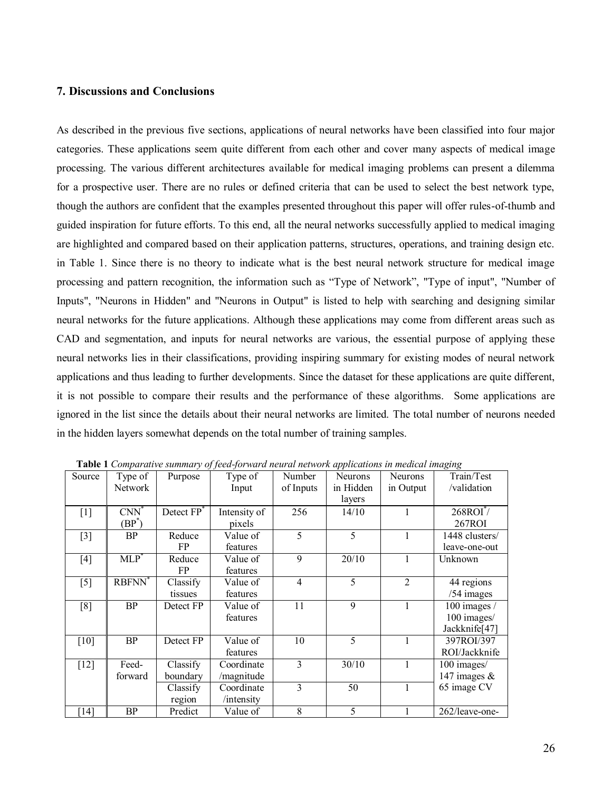# **7. Discussions and Conclusions**

As described in the previous five sections, applications of neural networks have been classified into four major categories. These applications seem quite different from each other and cover many aspects of medical image processing. The various different architectures available for medical imaging problems can present a dilemma for a prospective user. There are no rules or defined criteria that can be used to select the best network type, though the authors are confident that the examples presented throughout this paper will offer rules-of-thumb and guided inspiration for future efforts. To this end, all the neural networks successfully applied to medical imaging are highlighted and compared based on their application patterns, structures, operations, and training design etc. in [Table 1.](#page-25-0) Since there is no theory to indicate what is the best neural network structure for medical image processing and pattern recognition, the information such as "Type of Network", "Type of input", "Number of Inputs", "Neurons in Hidden" and "Neurons in Output" is listed to help with searching and designing similar neural networks for the future applications. Although these applications may come from different areas such as CAD and segmentation, and inputs for neural networks are various, the essential purpose of applying these neural networks lies in their classifications, providing inspiring summary for existing modes of neural network applications and thus leading to further developments. Since the dataset for these applications are quite different, it is not possible to compare their results and the performance of these algorithms. Some applications are ignored in the list since the details about their neural networks are limited. The total number of neurons needed in the hidden layers somewhat depends on the total number of training samples.

<span id="page-25-0"></span>

| Source | Type of<br>Network | $\sqrt{2}$<br>Purpose  | Type of<br>Input | Number<br>of Inputs | <b>Neurons</b><br>in Hidden<br>layers | Neurons<br>in Output | Train/Test<br>/validation |
|--------|--------------------|------------------------|------------------|---------------------|---------------------------------------|----------------------|---------------------------|
|        |                    |                        |                  |                     |                                       |                      |                           |
| $[1]$  | $CNN^*$            | Detect FP <sup>*</sup> | Intensity of     | 256                 | 14/10                                 | 1                    | $268$ ROI $^*/$           |
|        | $(BP^*)$           |                        | pixels           |                     |                                       |                      | 267ROI                    |
| $[3]$  | <b>BP</b>          | Reduce                 | Value of         | 5                   | 5                                     | 1                    | 1448 clusters/            |
|        |                    | <b>FP</b>              | features         |                     |                                       |                      | leave-one-out             |
| $[4]$  | $MLP^*$            | Reduce                 | Value of         | 9                   | 20/10                                 |                      | Unknown                   |
|        |                    | <b>FP</b>              | features         |                     |                                       |                      |                           |
| $[5]$  | RBFNN <sup>*</sup> | Classify               | Value of         | $\overline{4}$      | 5                                     | $\overline{2}$       | 44 regions                |
|        |                    | tissues                | features         |                     |                                       |                      | /54 images                |
| [8]    | <b>BP</b>          | Detect FP              | Value of         | 11                  | 9                                     | $\mathbf{1}$         | 100 images $/$            |
|        |                    |                        | features         |                     |                                       |                      | 100 images/               |
|        |                    |                        |                  |                     |                                       |                      | Jackknife[47]             |
| [10]   | <b>BP</b>          | Detect FP              | Value of         | 10                  | 5                                     | $\mathbf{1}$         | 397ROI/397                |
|        |                    |                        | features         |                     |                                       |                      | ROI/Jackknife             |
| $[12]$ | Feed-              | Classify               | Coordinate       | 3                   | 30/10                                 | 1                    | 100 images/               |
|        | forward            | boundary               | /magnitude       |                     |                                       |                      | 147 images $\&$           |
|        |                    | Classify               | Coordinate       | 3                   | 50                                    | $\mathbf{1}$         | 65 image CV               |
|        |                    | region                 | /intensity       |                     |                                       |                      |                           |
| $[14]$ | <b>BP</b>          | Predict                | Value of         | 8                   | 5                                     | 1                    | 262/leave-one-            |

**Table 1** *Comparative summary of feed-forward neural network applications in medical imaging*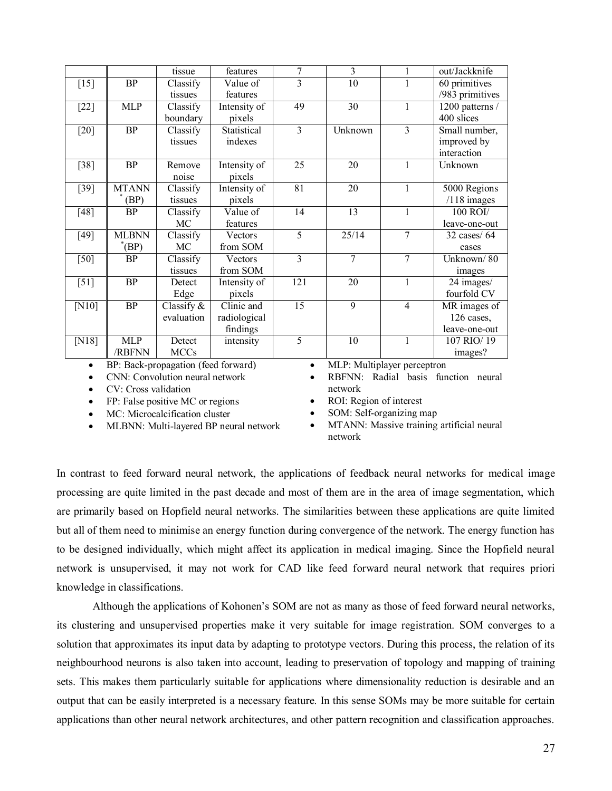|           |              | tissue                              | features                            | 7                | 3               | 1              | out/Jackknife   |
|-----------|--------------|-------------------------------------|-------------------------------------|------------------|-----------------|----------------|-----------------|
| $[15]$    | BP           | Classify                            | Value of                            | $\overline{3}$   | 10              | 1              | 60 primitives   |
|           |              | tissues                             | features                            |                  |                 |                | /983 primitives |
| $[22]$    | <b>MLP</b>   | Classify                            | Intensity of                        | 49               | 30              | $\mathbf{1}$   | 1200 patterns / |
|           |              | boundary                            | pixels                              |                  |                 |                | 400 slices      |
| $[20]$    | BP           | Classify                            | Statistical                         | $\overline{3}$   | Unknown         | 3              | Small number,   |
|           |              | tissues                             | indexes                             |                  |                 |                | improved by     |
|           |              |                                     |                                     |                  |                 |                | interaction     |
| $[38]$    | <b>BP</b>    | Remove                              | Intensity of                        | 25               | 20              | $\mathbf{1}$   | Unknown         |
|           |              | noise                               | pixels                              |                  |                 |                |                 |
| $[39]$    | <b>MTANN</b> | Classify                            | Intensity of                        | $\overline{81}$  | 20              | $\mathbf{1}$   | 5000 Regions    |
|           | (BP)         | tissues                             | pixels                              |                  |                 |                | $/118$ images   |
| $[48]$    | <b>BP</b>    | Classify                            | Value of                            | 14               | $\overline{13}$ | $\mathbf{1}$   | 100 ROI/        |
|           |              | MC                                  | features                            |                  |                 |                | leave-one-out   |
| [49]      | <b>MLBNN</b> | Classify                            | Vectors                             | $\overline{5}$   | 25/14           | $\overline{7}$ | 32 cases/ 64    |
|           | (BP)         | MC                                  | from SOM                            |                  |                 |                | cases           |
| $[50]$    | BP           | Classify                            | Vectors                             | 3                | 7               | $\overline{7}$ | Unknown/80      |
|           |              | tissues                             | from SOM                            |                  |                 |                | images          |
| [51]      | <b>BP</b>    | Detect                              | Intensity of                        | $\overline{121}$ | 20              | $\mathbf{1}$   | 24 images/      |
|           |              | Edge                                | pixels                              |                  |                 |                | fourfold CV     |
| [N10]     | BP           | Classify $\&$                       | Clinic and                          | $\overline{15}$  | 9               | $\overline{4}$ | MR images of    |
|           |              | evaluation                          | radiological                        |                  |                 |                | 126 cases,      |
|           |              |                                     | findings                            |                  |                 |                | leave-one-out   |
| [N18]     | <b>MLP</b>   | Detect                              | intensity                           | 5                | 10              | $\mathbf{1}$   | 107 RIO/19      |
|           | /RBFNN       | <b>MCCs</b>                         |                                     |                  |                 |                | images?         |
| $\bullet$ |              | BP: Back-propagation (feed forward) | MLP: Multiplayer perceptron         |                  |                 |                |                 |
|           |              | CNN: Convolution neural network     | RBFNN: Radial basis function neural |                  |                 |                |                 |

• CV: Cross validation

FP: False positive MC or regions

MC: Microcalcification cluster

MLBNN: Multi-layered BP neural network

 RBFNN: Radial basis function neural network

ROI: Region of interest

SOM: Self-organizing map

 MTANN: Massive training artificial neural network

In contrast to feed forward neural network, the applications of feedback neural networks for medical image processing are quite limited in the past decade and most of them are in the area of image segmentation, which are primarily based on Hopfield neural networks. The similarities between these applications are quite limited but all of them need to minimise an energy function during convergence of the network. The energy function has to be designed individually, which might affect its application in medical imaging. Since the Hopfield neural network is unsupervised, it may not work for CAD like feed forward neural network that requires priori knowledge in classifications.

Although the applications of Kohonen's SOM are not as many as those of feed forward neural networks, its clustering and unsupervised properties make it very suitable for image registration. SOM converges to a solution that approximates its input data by adapting to prototype vectors. During this process, the relation of its neighbourhood neurons is also taken into account, leading to preservation of topology and mapping of training sets. This makes them particularly suitable for applications where dimensionality reduction is desirable and an output that can be easily interpreted is a necessary feature. In this sense SOMs may be more suitable for certain applications than other neural network architectures, and other pattern recognition and classification approaches.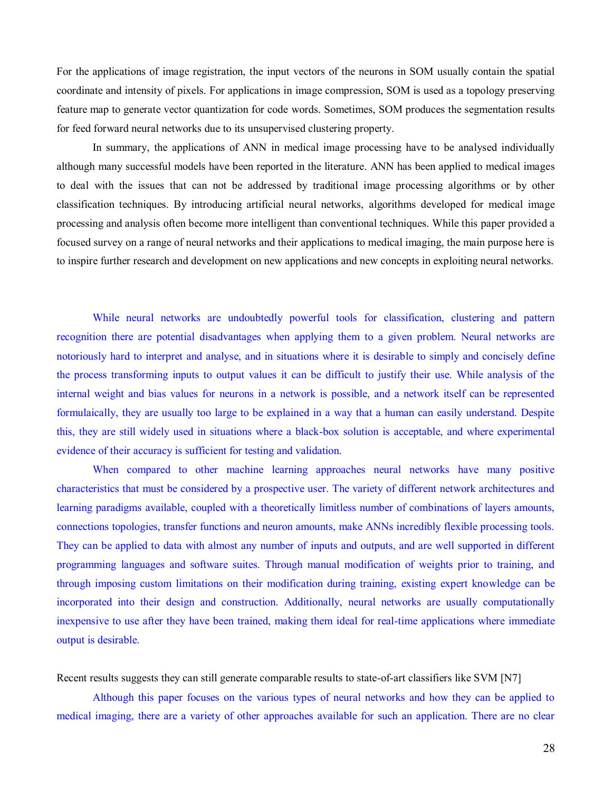For the applications of image registration, the input vectors of the neurons in SOM usually contain the spatial coordinate and intensity of pixels. For applications in image compression, SOM is used as a topology preserving feature map to generate vector quantization for code words. Sometimes, SOM produces the segmentation results for feed forward neural networks due to its unsupervised clustering property.

In summary, the applications of ANN in medical image processing have to be analysed individually although many successful models have been reported in the literature. ANN has been applied to medical images to deal with the issues that can not be addressed by traditional image processing algorithms or by other classification techniques. By introducing artificial neural networks, algorithms developed for medical image processing and analysis often become more intelligent than conventional techniques. While this paper provided a focused survey on a range of neural networks and their applications to medical imaging, the main purpose here is to inspire further research and development on new applications and new concepts in exploiting neural networks.

While neural networks are undoubtedly powerful tools for classification, clustering and pattern recognition there are potential disadvantages when applying them to a given problem. Neural networks are notoriously hard to interpret and analyse, and in situations where it is desirable to simply and concisely define the process transforming inputs to output values it can be difficult to justify their use. While analysis of the internal weight and bias values for neurons in a network is possible, and a network itself can be represented formulaically, they are usually too large to be explained in a way that a human can easily understand. Despite this, they are still widely used in situations where a black-box solution is acceptable, and where experimental evidence of their accuracy is sufficient for testing and validation.

When compared to other machine learning approaches neural networks have many positive characteristics that must be considered by a prospective user. The variety of different network architectures and learning paradigms available, coupled with a theoretically limitless number of combinations of layers amounts, connections topologies, transfer functions and neuron amounts, make ANNs incredibly flexible processing tools. They can be applied to data with almost any number of inputs and outputs, and are well supported in different programming languages and software suites. Through manual modification of weights prior to training, and through imposing custom limitations on their modification during training, existing expert knowledge can be incorporated into their design and construction. Additionally, neural networks are usually computationally inexpensive to use after they have been trained, making them ideal for real-time applications where immediate output is desirable.

Recent results suggests they can still generate comparable results to state-of-art classifiers like SVM [N7]

Although this paper focuses on the various types of neural networks and how they can be applied to medical imaging, there are a variety of other approaches available for such an application. There are no clear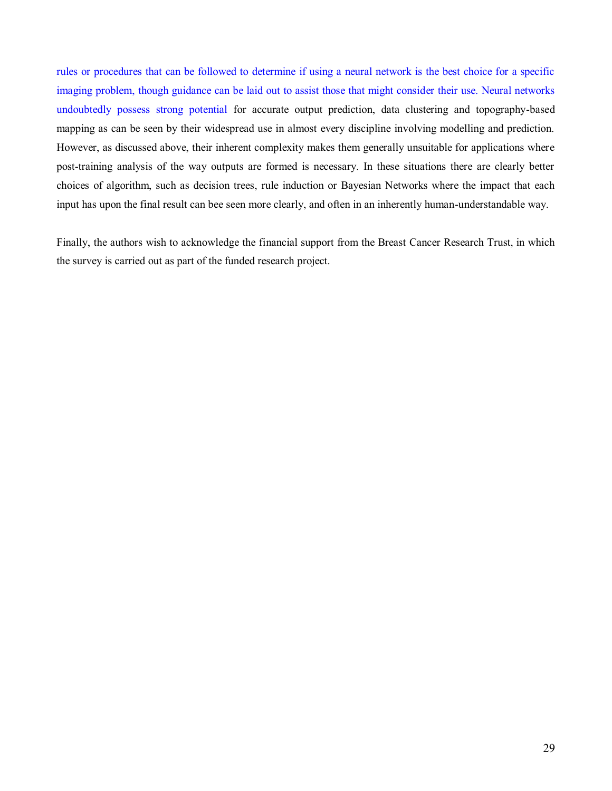rules or procedures that can be followed to determine if using a neural network is the best choice for a specific imaging problem, though guidance can be laid out to assist those that might consider their use. Neural networks undoubtedly possess strong potential for accurate output prediction, data clustering and topography-based mapping as can be seen by their widespread use in almost every discipline involving modelling and prediction. However, as discussed above, their inherent complexity makes them generally unsuitable for applications where post-training analysis of the way outputs are formed is necessary. In these situations there are clearly better choices of algorithm, such as decision trees, rule induction or Bayesian Networks where the impact that each input has upon the final result can bee seen more clearly, and often in an inherently human-understandable way.

Finally, the authors wish to acknowledge the financial support from the Breast Cancer Research Trust, in which the survey is carried out as part of the funded research project.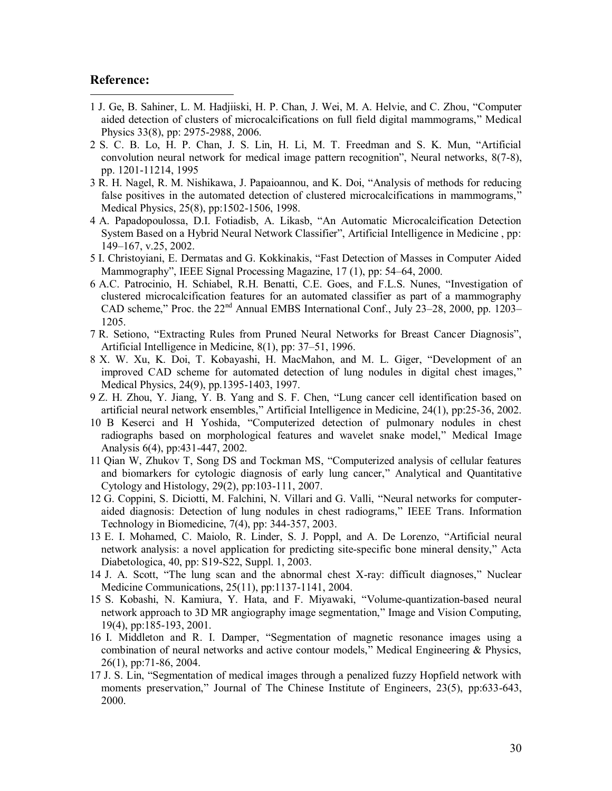# **Reference:**

- 1 J. Ge, B. Sahiner, L. M. Hadjiiski, H. P. Chan, J. Wei, M. A. Helvie, and C. Zhou, "Computer aided detection of clusters of microcalcifications on full field digital mammograms," Medical Physics 33(8), pp: 2975-2988, 2006.
- 2 S. C. B. Lo, H. P. Chan, J. S. Lin, H. Li, M. T. Freedman and S. K. Mun, "Artificial convolution neural network for medical image pattern recognition", Neural networks,  $8(7-8)$ , pp. 1201-11214, 1995
- 3 R. H. Nagel, R. M. Nishikawa, J. Papaioannou, and K. Doi, "Analysis of methods for reducing false positives in the automated detection of clustered microcalcifications in mammograms," Medical Physics, 25(8), pp:1502-1506, 1998.
- 4 A. Papadopoulossa, D.I. Fotiadisb, A. Likasb, "An Automatic Microcalcification Detection System Based on a Hybrid Neural Network Classifier", Artificial Intelligence in Medicine, pp: 149–167, v.25, 2002.
- 5 I. Christoyiani, E. Dermatas and G. Kokkinakis, "Fast Detection of Masses in Computer Aided Mammography", IEEE Signal Processing Magazine, 17 (1), pp: 54–64, 2000.
- 6 A.C. Patrocinio, H. Schiabel, R.H. Benatti, C.E. Goes, and F.L.S. Nunes, "Investigation of clustered microcalcification features for an automated classifier as part of a mammography CAD scheme," Proc. the  $22<sup>nd</sup>$  Annual EMBS International Conf., July 23–28, 2000, pp. 1203– 1205.
- 7 R. Setiono, "Extracting Rules from Pruned Neural Networks for Breast Cancer Diagnosis", Artificial Intelligence in Medicine, 8(1), pp: 37–51, 1996.
- 8 X. W. Xu, K. Doi, T. Kobayashi, H. MacMahon, and M. L. Giger, "Development of an improved CAD scheme for automated detection of lung nodules in digital chest images," Medical Physics, 24(9), pp.1395-1403, 1997.
- 9 Z. H. Zhou, Y. Jiang, Y. B. Yang and S. F. Chen, "Lung cancer cell identification based on artificial neural network ensembles," Artificial Intelligence in Medicine, 24(1), pp:25-36, 2002.
- 10 B Keserci and H Yoshida, "Computerized detection of pulmonary nodules in chest radiographs based on morphological features and wavelet snake model," Medical Image Analysis 6(4), pp:431-447, 2002.
- 11 Qian W, Zhukov T, Song DS and Tockman MS, "Computerized analysis of cellular features and biomarkers for cytologic diagnosis of early lung cancer," Analytical and Quantitative Cytology and Histology, 29(2), pp:103-111, 2007.
- 12 G. Coppini, S. Diciotti, M. Falchini, N. Villari and G. Valli, "Neural networks for computeraided diagnosis: Detection of lung nodules in chest radiograms," IEEE Trans. Information Technology in Biomedicine, 7(4), pp: 344-357, 2003.
- 13 E. I. Mohamed, C. Maiolo, R. Linder, S. J. Poppl, and A. De Lorenzo, "Artificial neural network analysis: a novel application for predicting site-specific bone mineral density," Acta Diabetologica, 40, pp: S19-S22, Suppl. 1, 2003.
- 14 J. A. Scott, "The lung scan and the abnormal chest X-ray: difficult diagnoses," Nuclear Medicine Communications, 25(11), pp:1137-1141, 2004.
- 15 S. Kobashi, N. Kamiura, Y. Hata, and F. Miyawaki, "Volume-quantization-based neural network approach to 3D MR angiography image segmentation," Image and Vision Computing, 19(4), pp:185-193, 2001.
- 16 I. Middleton and R. I. Damper, "Segmentation of magnetic resonance images using a combination of neural networks and active contour models," Medical Engineering  $\&$  Physics, 26(1), pp:71-86, 2004.
- 17 J. S. Lin, "Segmentation of medical images through a penalized fuzzy Hopfield network with moments preservation," Journal of The Chinese Institute of Engineers, 23(5), pp:633-643, 2000.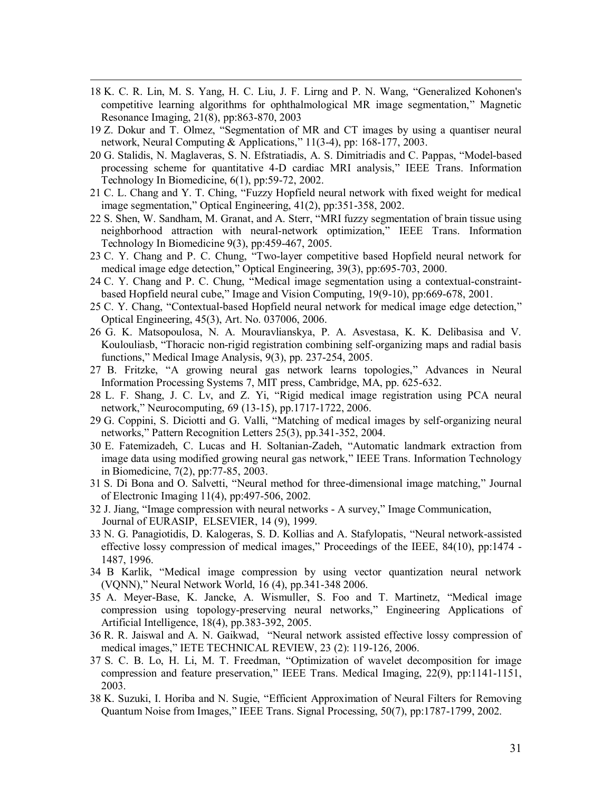18 K. C. R. Lin, M. S. Yang, H. C. Liu, J. F. Lirng and P. N. Wang, "Generalized Kohonen's competitive learning algorithms for ophthalmological MR image segmentation," Magnetic Resonance Imaging, 21(8), pp:863-870, 2003

- 19 Z. Dokur and T. Olmez, "Segmentation of MR and CT images by using a quantiser neural network, Neural Computing & Applications," 11(3-4), pp: 168-177, 2003.
- 20 G. Stalidis, N. Maglaveras, S. N. Efstratiadis, A. S. Dimitriadis and C. Pappas, "Model-based" processing scheme for quantitative 4-D cardiac MRI analysis,‖ IEEE Trans. Information Technology In Biomedicine, 6(1), pp:59-72, 2002.
- 21 C. L. Chang and Y. T. Ching, "Fuzzy Hopfield neural network with fixed weight for medical image segmentation," Optical Engineering, 41(2), pp:351-358, 2002.
- 22 S. Shen, W. Sandham, M. Granat, and A. Sterr, "MRI fuzzy segmentation of brain tissue using neighborhood attraction with neural-network optimization," IEEE Trans. Information Technology In Biomedicine 9(3), pp:459-467, 2005.
- 23 C. Y. Chang and P. C. Chung, "Two-layer competitive based Hopfield neural network for medical image edge detection," Optical Engineering, 39(3), pp:695-703, 2000.
- 24 C. Y. Chang and P. C. Chung, "Medical image segmentation using a contextual-constraintbased Hopfield neural cube," Image and Vision Computing, 19(9-10), pp:669-678, 2001.
- 25 C. Y. Chang, "Contextual-based Hopfield neural network for medical image edge detection," Optical Engineering, 45(3), Art. No. 037006, 2006.
- 26 G. K. Matsopoulosa, N. A. Mouravlianskya, P. A. Asvestasa, K. K. Delibasisa and V. Koulouliasb, "Thoracic non-rigid registration combining self-organizing maps and radial basis functions," Medical Image Analysis, 9(3), pp. 237-254, 2005.
- 27 B. Fritzke, "A growing neural gas network learns topologies," Advances in Neural Information Processing Systems 7, MIT press, Cambridge, MA, pp. 625-632.
- 28 L. F. Shang, J. C. Lv, and Z. Yi, "Rigid medical image registration using PCA neural network," Neurocomputing, 69 (13-15), pp.1717-1722, 2006.
- 29 G. Coppini, S. Diciotti and G. Valli, "Matching of medical images by self-organizing neural networks," Pattern Recognition Letters 25(3), pp.341-352, 2004.
- 30 E. Fatemizadeh, C. Lucas and H. Soltanian-Zadeh, "Automatic landmark extraction from image data using modified growing neural gas network," IEEE Trans. Information Technology in Biomedicine, 7(2), pp:77-85, 2003.
- 31 S. Di Bona and O. Salvetti, "Neural method for three-dimensional image matching," Journal of Electronic Imaging 11(4), pp:497-506, 2002.
- 32 J. Jiang, "Image compression with neural networks A survey," Image Communication, Journal of EURASIP, ELSEVIER, 14 (9), 1999.
- 33 N. G. Panagiotidis, D. Kalogeras, S. D. Kollias and A. Stafylopatis, "Neural network-assisted effective lossy compression of medical images," Proceedings of the IEEE,  $84(10)$ , pp:1474 -1487, 1996.
- 34 B Karlik, "Medical image compression by using vector quantization neural network (VQNN)," Neural Network World, 16 (4), pp.341-348 2006.
- 35 A. Meyer-Base, K. Jancke, A. Wismuller, S. Foo and T. Martinetz, "Medical image compression using topology-preserving neural networks," Engineering Applications of Artificial Intelligence, 18(4), pp.383-392, 2005.
- 36 R. R. Jaiswal and A. N. Gaikwad, "Neural network assisted effective lossy compression of medical images," IETE TECHNICAL REVIEW, 23 (2): 119-126, 2006.
- 37 S. C. B. Lo, H. Li, M. T. Freedman, "Optimization of wavelet decomposition for image compression and feature preservation," IEEE Trans. Medical Imaging, 22(9), pp:1141-1151, 2003.
- 38 K. Suzuki, I. Horiba and N. Sugie, "Efficient Approximation of Neural Filters for Removing Quantum Noise from Images,‖ IEEE Trans. Signal Processing, 50(7), pp:1787-1799, 2002.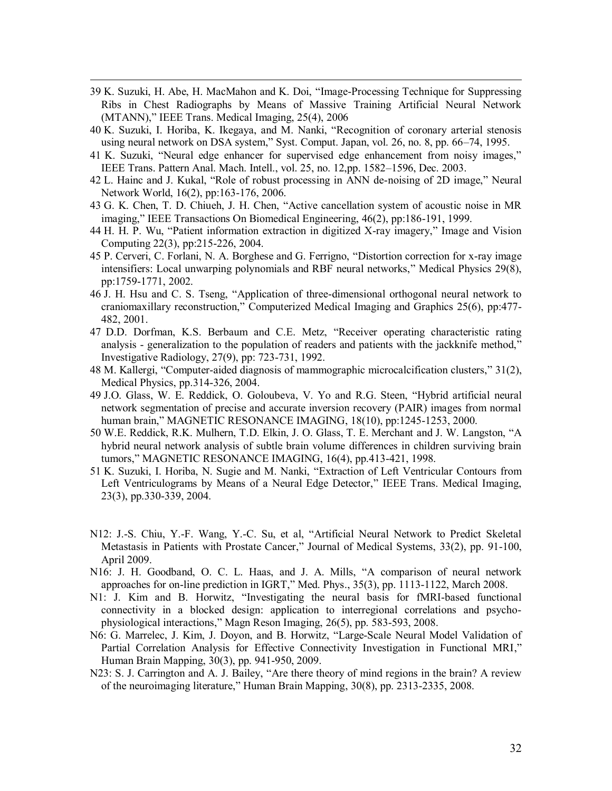39 K. Suzuki, H. Abe, H. MacMahon and K. Doi, "Image-Processing Technique for Suppressing Ribs in Chest Radiographs by Means of Massive Training Artificial Neural Network (MTANN)," IEEE Trans. Medical Imaging, 25(4), 2006

- 40 K. Suzuki, I. Horiba, K. Ikegaya, and M. Nanki, "Recognition of coronary arterial stenosis using neural network on DSA system," Syst. Comput. Japan, vol. 26, no. 8, pp. 66–74, 1995.
- 41 K. Suzuki, "Neural edge enhancer for supervised edge enhancement from noisy images." IEEE Trans. Pattern Anal. Mach. Intell., vol. 25, no. 12,pp. 1582–1596, Dec. 2003.
- 42 L. Hainc and J. Kukal, "Role of robust processing in ANN de-noising of 2D image," Neural Network World, 16(2), pp:163-176, 2006.
- 43 G. K. Chen, T. D. Chiueh, J. H. Chen, "Active cancellation system of acoustic noise in MR imaging," IEEE Transactions On Biomedical Engineering, 46(2), pp:186-191, 1999.
- 44 H. H. P. Wu, "Patient information extraction in digitized X-ray imagery," Image and Vision Computing 22(3), pp:215-226, 2004.
- 45 P. Cerveri, C. Forlani, N. A. Borghese and G. Ferrigno, "Distortion correction for x-ray image intensifiers: Local unwarping polynomials and RBF neural networks," Medical Physics 29(8), pp:1759-1771, 2002.
- 46 J. H. Hsu and C. S. Tseng, "Application of three-dimensional orthogonal neural network to craniomaxillary reconstruction," Computerized Medical Imaging and Graphics 25(6), pp:477-482, 2001.
- 47 D.D. Dorfman, K.S. Berbaum and C.E. Metz, "Receiver operating characteristic rating analysis - generalization to the population of readers and patients with the jackknife method," Investigative Radiology, 27(9), pp: 723-731, 1992.
- 48 M. Kallergi, "Computer-aided diagnosis of mammographic microcalcification clusters,"  $31(2)$ , Medical Physics, pp.314-326, 2004.
- 49 J.O. Glass, W. E. Reddick, O. Goloubeva, V. Yo and R.G. Steen, "Hybrid artificial neural network segmentation of precise and accurate inversion recovery (PAIR) images from normal human brain," MAGNETIC RESONANCE IMAGING, 18(10), pp:1245-1253, 2000.
- 50 W.E. Reddick, R.K. Mulhern, T.D. Elkin, J. O. Glass, T. E. Merchant and J. W. Langston, "A hybrid neural network analysis of subtle brain volume differences in children surviving brain tumors," MAGNETIC RESONANCE IMAGING, 16(4), pp.413-421, 1998.
- 51 K. Suzuki, I. Horiba, N. Sugie and M. Nanki, "Extraction of Left Ventricular Contours from Left Ventriculograms by Means of a Neural Edge Detector," IEEE Trans. Medical Imaging, 23(3), pp.330-339, 2004.
- N12: J.-S. Chiu, Y.-F. Wang, Y.-C. Su, et al, "Artificial Neural Network to Predict Skeletal Metastasis in Patients with Prostate Cancer," Journal of Medical Systems, 33(2), pp. 91-100, April 2009.
- N16: J. H. Goodband, O. C. L. Haas, and J. A. Mills, "A comparison of neural network approaches for on-line prediction in IGRT," Med. Phys., 35(3), pp. 1113-1122, March 2008.
- N1: J. Kim and B. Horwitz, "Investigating the neural basis for fMRI-based functional connectivity in a blocked design: application to interregional correlations and psychophysiological interactions,‖ Magn Reson Imaging, 26(5), pp. 583-593, 2008.
- N6: G. Marrelec, J. Kim, J. Doyon, and B. Horwitz, "Large-Scale Neural Model Validation of Partial Correlation Analysis for Effective Connectivity Investigation in Functional MRI," Human Brain Mapping, 30(3), pp. 941-950, 2009.
- N23: S. J. Carrington and A. J. Bailey, "Are there theory of mind regions in the brain? A review of the neuroimaging literature," Human Brain Mapping, 30(8), pp. 2313-2335, 2008.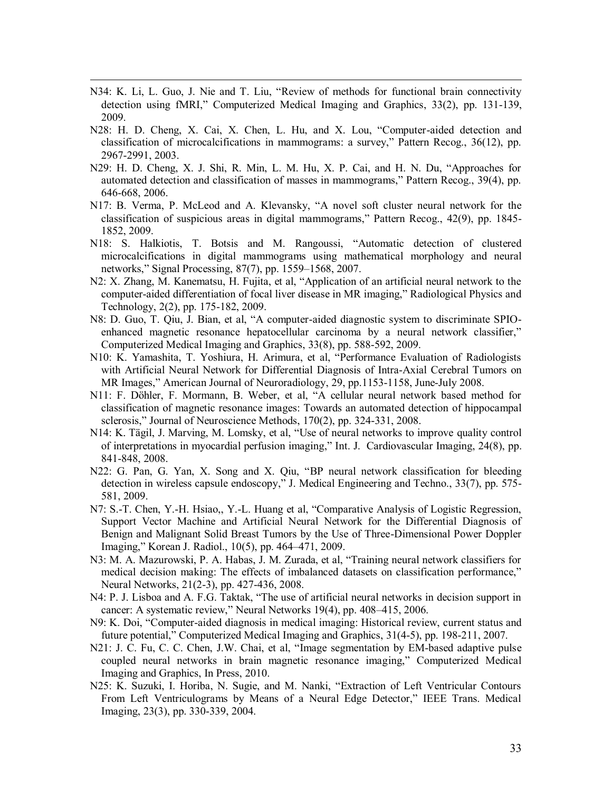N34: K. Li, L. Guo, J. Nie and T. Liu, "Review of methods for functional brain connectivity detection using fMRI," Computerized Medical Imaging and Graphics, 33(2), pp. 131-139, 2009.

- N28: H. D. Cheng, X. Cai, X. Chen, L. Hu, and X. Lou, "Computer-aided detection and classification of microcalcifications in mammograms: a survey," Pattern Recog., 36(12), pp. 2967-2991, 2003.
- N29: H. D. Cheng, X. J. Shi, R. Min, L. M. Hu, X. P. Cai, and H. N. Du, "Approaches for automated detection and classification of masses in mammograms," Pattern Recog., 39(4), pp. 646-668, 2006.
- N17: B. Verma, P. McLeod and A. Klevansky, "A novel soft cluster neural network for the classification of suspicious areas in digital mammograms," Pattern Recog.,  $42(9)$ , pp. 1845-1852, 2009.
- N18: S. Halkiotis, T. Botsis and M. Rangoussi, "Automatic detection of clustered microcalcifications in digital mammograms using mathematical morphology and neural networks," Signal Processing, 87(7), pp. 1559–1568, 2007.
- N2: X. Zhang, M. Kanematsu, H. Fujita, et al, "Application of an artificial neural network to the computer-aided differentiation of focal liver disease in MR imaging," Radiological Physics and Technology, 2(2), pp. 175-182, 2009.
- N8: D. Guo, T. Qiu, J. Bian, et al, "A computer-aided diagnostic system to discriminate SPIOenhanced magnetic resonance hepatocellular carcinoma by a neural network classifier." Computerized Medical Imaging and Graphics, 33(8), pp. 588-592, 2009.
- N10: K. Yamashita, T. Yoshiura, H. Arimura, et al, "Performance Evaluation of Radiologists with Artificial Neural Network for Differential Diagnosis of Intra-Axial Cerebral Tumors on MR Images," American Journal of Neuroradiology, 29, pp.1153-1158, June-July 2008.
- N11: F. Döhler, F. Mormann, B. Weber, et al, "A cellular neural network based method for classification of magnetic resonance images: Towards an automated detection of hippocampal sclerosis," Journal of Neuroscience Methods, 170(2), pp. 324-331, 2008.
- N14: K. Tägil, J. Marving, M. Lomsky, et al, "Use of neural networks to improve quality control of interpretations in myocardial perfusion imaging," Int. J. Cardiovascular Imaging,  $24(8)$ , pp. 841-848, 2008.
- N22: G. Pan, G. Yan, X. Song and X. Qiu, "BP neural network classification for bleeding detection in wireless capsule endoscopy," J. Medical Engineering and Techno., 33(7), pp. 575-581, 2009.
- N7: S.-T. Chen, Y.-H. Hsiao,, Y.-L. Huang et al, "Comparative Analysis of Logistic Regression, Support Vector Machine and Artificial Neural Network for the Differential Diagnosis of Benign and Malignant Solid Breast Tumors by the Use of Three-Dimensional Power Doppler Imaging,‖ Korean J. Radiol., 10(5), pp. 464–471, 2009.
- N3: M. A. Mazurowski, P. A. Habas, J. M. Zurada, et al, "Training neural network classifiers for medical decision making: The effects of imbalanced datasets on classification performance," Neural Networks, 21(2-3), pp. 427-436, 2008.
- N4: P. J. Lisboa and A. F.G. Taktak, "The use of artificial neural networks in decision support in cancer: A systematic review," Neural Networks 19(4), pp. 408–415, 2006.
- N9: K. Doi, "Computer-aided diagnosis in medical imaging: Historical review, current status and future potential," Computerized Medical Imaging and Graphics, 31(4-5), pp. 198-211, 2007.
- N21: J. C. Fu, C. C. Chen, J.W. Chai, et al, "Image segmentation by EM-based adaptive pulse coupled neural networks in brain magnetic resonance imaging," Computerized Medical Imaging and Graphics, In Press, 2010.
- N25: K. Suzuki, I. Horiba, N. Sugie, and M. Nanki, "Extraction of Left Ventricular Contours From Left Ventriculograms by Means of a Neural Edge Detector," IEEE Trans. Medical Imaging, 23(3), pp. 330-339, 2004.